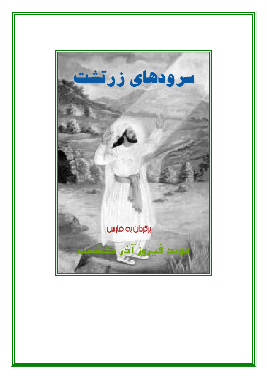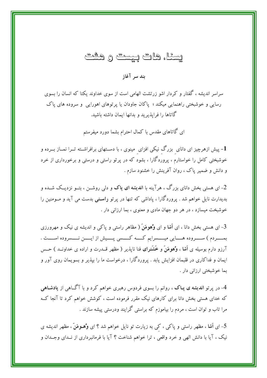#### يسئا، هات پيست و هشت

ىند سىر آغاز

سراسر اندیشه ، گفتار و کردار اشو زرتشت الهامی است از سوی خداوند یکتا که انسان را بسوی رسایی و خوشبختی راهنمایی میکند ؛ پاکان جاودان یا پر توهای اهورایی و سروده های پاک گاتاها را فرایذیرید و بدانها ایمان داشته باشید.

ای گاتاهای مقدس با کمال احترام بشما دورد میفرستم

1- پیش ازهرچیز ای دانای بزرگ نیکی افزای مینوی ، با دســتهای برافراشــته تــرا نمــاز بــرده و خوشبختی کامل را خواستارم ، پروردگارا ، بشود که در پرتو راستی و درستی و برخورداری از خرد و دانش و ضمیر یاک ، روان آفرینش را خشنود سازم .

2- ای هستی بخش دانای بزرگ ، هرآینه با **اندیشه ای پاک** و دل<sub>ی</sub> روشــن ، بتــو نزدیــک شــده و بدیدارت نایل خواهم شد . پروردگارا ، یاداشی که تنها در پر تو **راست**ی بدست می آید و مــومنین را خوشبخت میسازد ، در هر دو جهان مادی و معنوی ، بما ارزانی دار .

3- ای هستی بخش دانا ، ای **آشا** و ای **وُهومَنَ (** مظاهر راستی و پاکی و اندیشه ی نیک و مهرورزی بمــــــردم ) ســـــــروده هــــــايي ميـــــــسرايم كــــــه كــــــسي پـــــيش از ايــــــن نــــــسروده اســـــت . آرزو دارم بوسیله ی آشا ، وُهومَنَ و خَشَترای فنا نایذیر ( مظهر قــدرت و اراده ی خداونــد ) حــس ایمان و فداکاری در قلبمان افزایش یابد . پروردگارا ، درخواست ما را بیذیر و بسویمان روی آور و بما خوشبختی ارزانی دار .

4- در پرتو اندیشه ی پـاک ، روانم را بسوی فردوس رهبری خواهم کرد و با آگــاهی از پادشـاهی که خدای هستی بخش دانا برای کارهای نیک مقرر فرموده است ، کوشش خواهم کرد تا آنجا کـه مرا تاب و توان است ، مردم را بیاموزم که براستی گرایند ودرستی پیشه سازند .

5– ای آشا ، مظهر راستی و پاکی ، کی به زیارت تو نایل خواهم شد ؟ ای وُهـومَنَ ، مظهر اندیشه ی نیک ، آیا با دانش الهی و خرد واقعی ، ترا خواهم شناخت ؟ آیا با فرمانبرداری از نــدای وجــدان و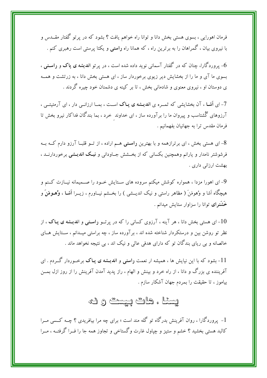فرمان اهورایی ، بسوی هستی بخش دانا و توانا راه خواهم یافت ؟ بشود که در پرتو گفتار مقــدس و با نیروی بیان ، گمراهان را به برترین راه ، که همانا راه **راستی** و یکتا پرستی است رهبری کنم .

6- یروردگارا، چنان که در گفتار آسمان<sub>ی</sub> نوید داده شده است ، در پرتو **اندیشه ی پاک و راسـتبی** ، بسوی ما آی و ما را از بخشایش دیر زیوی برخوردار ساز ، ای هستی بخش دانا ، به زرتشت و همــه ی دوستان او ، نیروی معنوی و شادمانی بخش ، تا بر کینه ی دشمنان خود چیره گردند .

7- ای آ**شـا** ، آن بخشایشی که ثمــره ی **اندیــشه ی پـاک** اســت ، بمــا ارزانــی دار ، ای آرمئیتــی ، آرزوهای گُشتاسب و پیروان ما را برآورده ساز ، ای خداوند خرد ، بما بندگان فداکار نیرو بخش تا فرمان مقدس ترا به جهانیان بفهمانیم .

8- ای هستی بخش ، ای برترازهمه و با بهترین **راستی** هــم اراده ، از تــو قلبــا آرزو دارم کــه بــه فرشوشتر نامدار و یارانم وهمچنین بکسانی که از بخــشش جــاودانی و ن**یـک اندیـشی** برخوردارنــد ، بهشت ارزانی داری .

9- ای اهورا مزدا ، همواره کوشش میکنم سروده های ســتایش خــود را صــمیمانه نیــازت کــنم و هیچگاه اَشا و وُهومَنَ ( مظاهر راستی و نیک اندیــشی ) را بخــشم نیــاورم ، زیــرا اَ**شـا ، وُهــومَنَ** و خَشَترای توانا را سزاوار ستایش میدانم .

ای هستی بخش دانا ، هر آینه ، آرزوی کسانی را که در پرتــو **راسـت**ی و ا**ندیــشه ی پـاک** ، از $10$ نظر تو روشن بین و درستکردار شناخته شده اند ، برآورده ساز ، چه براستی میــدانم ، ســتایش هــای خالصانه و بی ریای بندگان تو که دارای هدفی عالی و نیک اند ، بی نتیجه نخواهد ماند .

11- بشود که با این نیایش ها ، همیشه ار نعمت **راستی و اندیـشه ی پـاک** برخــوردار گــردم . ای آفریننده ی بزرگ و دانا ، از راه خرد و بینش و الهام ، راز پدید آمدن آفرینش را از روز ازل بمــن بیاموز ، تا حقیقت را بمردم جهان آشکار سازم .

#### يسنا ، هات پيست و ك

1- پروردگارا ، روان آفرینش بدرگاه تو گله مند است ؛ برای چه مرا بیافریدی ؟ چــه کــسی مــرا کالبد هستی بخشید ؟ خشم و ستیز و چپاول غارت وگستاخی و تجاوز همه جا را فــرا گرفتــه ، مــرا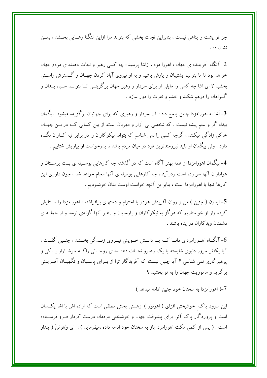جز تو یشت و پناهی نیست ، بنابراین نجات بخشی که بتواند مرا ازاین تنگنا رهــایی بخــشد ، بمــن نشان ده .

2- آنگاه آفریننده ی جهان ، اهورا مزدا، ازاشا پرسید : چه کسی رهبر و نجات دهنده ی مردم جهان خواهد بود تا ما بتوانیم پشتیبان و یارش باشیم و به او نیروی آباد کردن جهــان و گــسترش راســتم ٍ بخشیم ؟ ای اشا چه کسی را مایلی از برای سردار و رهبر جهان برگزینــی تــا بتوانــد ســپاه بــدان و گمراهان را درهم شکند و خشم و نفرت را دور سازد .

-<br>3– اَشا به اهورامزدا چنین پاسخ داد : آن سردار و رهبری که برای جهانیان برگزیده میشود بیگمان بیداد گر و ستم پیشه نیست ، که شخصی بی آزار و مهربان است. از بین کسانی کــه درایــن جهــان خاکی زادگی میکنند ، گرچه کسی را نمی شناسم که بتواند نیکو کاران را در برابر تبه کــاران نگــاه دارد ، ولی بیگمان او باید نیرومندترین فرد در میان مردم باشد تا بدرخواست او بیاریش شتابیم .

4- بیگمان اهورامزدا از همه بهتر آگاه است که در گذشته جه کارهایی بوسـیله ی بــت پرســتان و هواداران آنها سر زده است ودرآینده چه کارهایی بوسیله ی آنها انجام خواهد شد ، چون داوری این كارها تنها با اهورامزدا است ، بنابراين آنچه خواست اوست بدان خوشنوديم .

5–ایدون ( چنین ) من و روان آفرینش هردو با احترام و دستهای برافراشته ، اهورامزدا را ســتایش کرده واز او خواستاریم که هرگز به نیکوکاران و پارسایان و رهبر آنها گزندی نرسد و از حملــه ی دشمنان وبدكاران در پناه باشند .

6- آنگاه اهـورامزدای دانــا کــه بــا دانــش خــویش نیــروی زنــدگی بخــشد ، چنــین گفــت : آیا یکنفر سرور دنیوی شایسته یا یک رهبرو نجـات دهنــده ی روحـانی راکــه سرشــاراز یــاکی و پرهیزگاری نمی شناسی ؟ آیا چنین نیست که آفریدگار ترا از بــرای پاســبان و نگهبــان آفــرینش برگزید و ماموریت جهان را به تو بخشید ؟

7-( اهورامزدا به سخنان خود چنین ادامه میدهد )

این سرود پاک خوشبختی افزای ( اهونوَر ) ازهستی بخش مطلقی است که اراده اش با اشا یکسان است و پروردگار پاک آنرا برای پیشرفت جهان و خوشبختی مردمان درست کردار فــرو فرســتاده است . ( پس از کمی مکث اهورامزدا باز به سخنان خود ادامه داده ،میفرماید ) : ای وُهومَنَ ( پندار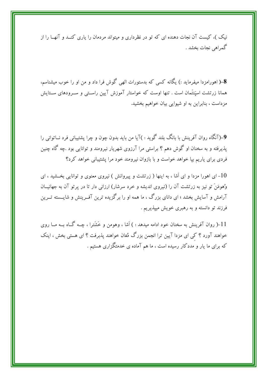نیک )، کیست آن نجات دهنده ای که تو در نظرداری و میتواند مردمان را یاری کنــد و آنهــا را از گمراهي نجات بخشد .

8–( اهورامزدا میفرماید :) یگانه کسی که بدستورات الهی گوش فرا داد و من او را خوب میشناسم، همانا زرتشت اسپَنتَمان است . تنها اوست که خواستار آموزش آیین راســتی و ســرودهای ســتایش مزداست ، بنابراین به او شیوایی بیان خواهیم بخشید.

9–(آنگاه روان آفرینش با بانگ بلند گوید : )آیا من باید بدون چون و چرا پشتیبانی فرد نــاتوانی را پذیرفته و به سخنان او گوش دهم ؟ براستی مرا آرزوی شهریار نیرومند و توانایی بود .چه گاه چنین فردی برای یاریم بپا خواهد خواست و با بازوان نیرومند خود مرا پشتیبانی خواهد کرد؟

ای اهورا مزدا و ای اَشا ، به اینها ( زرتشت و پیروانش ) نیروی معنوی و توانایی بخــشید ، ای $10$ وُهومَنَ تو نیز به زرتشت آن را (نیروی اندیشه و خرد سرشار) ارزانی دار تا در پرتو آن به جهانیــان آرامش و آسایش بخشد ؛ ای دانای بزرگ ، ما همه او را برگزیده ترین آفـرینش و شایــسته تــرین فرزند تو دانسته و به رهبری خویش میپذیریم .

11–( روان آفرینش به سخنان خود ادامه میدهد : ) اَشا ، وهومن و خَشَترا ، چــه گــاه بــه مــا روی خواهند آورد ؟ کی ای مزدا آیین ترا انجمن بزرگ مُغان خواهند پذبرفت ؟ ای هستی بخش ، اینک که برای ما یار و مددکار رسیده است ، ما هم آماده ی خدمتگزاری هستیم .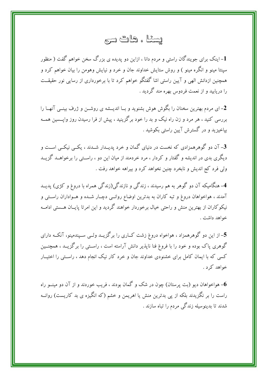#### يسئا ، هات تسري

1- اینک برای جویندگان راستی و مردم دانا ، ازاین دو پدیده ی بزرگ سخن خواهم گفت ( منظور سینتا مینو و انگره مینو ) و روش ستایش خداوند جان و خرد و نیایش وهومن را بیان خواهم کرد و همچنین ازدانش الهی و آیین راستی اشا گفتگو خواهم کرد تا با برخورداری از رسایی نور حقیقــت را دریابید و از نعمت فردوس بهره مند گردید .

2- ای مردم بهترین سخنان را بگوش هوش بشنوید و بــا اندیـــشه ی روشـــن و ژرف بینـــی آنهـــا را بررسی کنید ، هر مرد و زن راه نیک و بد را خود برگزینید ، پیش از فرا رسیدن روز واپــسین همــه بیاخیزید و در گسترش آیین راستی بکوشید .

3- آن دو گوهرهمزادی که نخست در دنیای گمان و خرد پدیــدار شــدند ، یکــی نیکــی اســت و دیگری بدی در اندیشه و گفتار و کردار ، مرد خردمند از میان این دو ، راســتی را برخواهــد گزیــد ولی فرد کج اندیش و نابخرد چنین نخواهد کرد و بیراهه خواهد رفت .

4- هنگامیکه آن دو گوهر به هم رسیدند ، زندگی و نازندگی(زندگی همراه با دروغ و کژی) پدیــد آمدند ، هواخواهان دروغ و تبه کاران به بدترین اوضاع روانـبی دچـار شــده و هــواداران راســتی و نیکوکاران از بهترین منش و راحتی خیال برخوردار خواهند گردید و این امرتا پایــان هــستی ادامــه خواهد داشت .

5– از این دو گوهرهمزاد ، هواخواه دروغ زشت کــاری را برگزیــد ولــی ســپندمینو، آنکــه دارای گوهری پاک بوده و خود را با فروغ فنا ناپذیر دانش آراسته است ، راســتی را برگزیــد ، همچنــین کسی که با ایمان کامل برای خشنودی خداوند جان و خرد کار نیک انجام دهد ، راستی را اختیــار خواهد کرد .

واخواهان دیو (بت پرستان) چون در شک و گمان بودند ، فریب خوردند و از آن دو مینـــو راه $\bf 6$ راست را بر نگزیدند بلکه از پی بدترین منش یا اهریمن و خشم (که انگیزه ی بد کاریست) روانــه شدند تا بدینوسیله زندگی مردم را تباه سازند .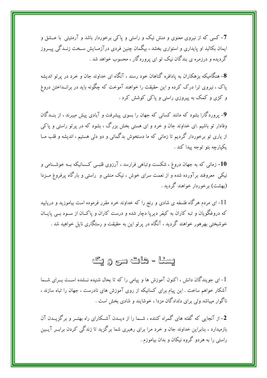7- کسی که از نیروی معنوی و منش نیک و راستی و پاکی برخوردار باشد و آرمئیتی ًبا عـــشق و ایمان بکالبد او پایداری و استواری بخشد ، بیگمان چنین فردی درآزمـایش سـخت زنــدگی پیــروز گردیده و درزمره ی بندگان نیک تو ای پروردگار ، محسوب خواهد شد .

8- هنگامیکه بزهکاران به پادافره گناهان خود رسند ، آنگاه ای خداوند حان و خرد در بر تو اندیشه یاک ، نیروی ترا درک کرده و این حقیقت را خواهند آموخت که چگونه باید در برانــداختن دروغ و کژی و کمک به پیروزی راستی و پاکی کوشش کرد .

9- پروردگارا بشود که مانند کسانی که جهان را بسوی پیشرفت و آبادی پیش میبرند ، از بنــدگان وفادار تو باشیم .ای خداوند جان و خرد و ای هستی بخش بزرگ ، بشود که در پر تو راستی و پاکی از یاری تو برخوردار گردیم تا زمانی که ما دستخوش بدگمانی و دو دلی هستیم ، اندیشه و قلب مــا يکيارچه بتو توجه پيدا کند .

10– زمانی که به جهان دروغ ، شکست وتباهی فرارسد ، آرزوی قلبــی کــسانیکه بــه خوشــنامی و نیکی ًمعروفند برآورده شده و از نعمت سرای خوش ، نیک منشی و آراستی و بارگاه پرفروغ مــزدا (بهشت) برخوردار خواهند گردید .

ای مردم هرگاه فلسفه ی شادی و رنج را که خداوند خرد مقرر فرموده است بیاموزید و دریابید  $11\,$ که دروغگویان و تبه کاران به کیفر دیریا دچار شده و درست کاران و پاکـان از ســود بــبی پایــان خوشبختی بهرهور خواهند گردید ، آنگاه در پر تو این به حقیقت و رستگاری ناپل خواهید شد .

#### يسئا - هات تتري و يک

1- ای جویندگان دانش ، اکنون آموزش ها و پیامی را که تا بحال شنیده نـــشده اســت بـــرای شـــما آشکار خواهم ساخت . این پیام برای کسانیکه از روی آموزش های نادرست ، جهان را تباه سازند ، ناگوار میباشد ولی برای دلدادگان مزدا ، خوشایند و شادی بخش است .

2- از آنجایی که گفته های گمراه کننده ، شــما را از دیــدن آشــکارای راه بهتــر و برگزیــدن آن بازمیدارد ، بنابراین خداوند جان و خرد مرا برای رهبری شما برگزید تا زندگی کردن برابــر آیــین راستی را به هردو گروه نیکان و بدان بیاموزم .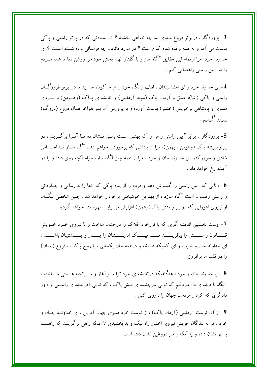3- پروردگارا، درپرتو فروغ مینوی بما چه خواهی بخشید ؟ آن سعادتی که در پرتو راستی و پاکی بدست می آید و به همه وعده شده کدام است ؟ در مورد دانایان چه فرمـانی داده شــده اسـت ؟ ای خداوند خرد، مرا ازتمام این حقایق آگاه ساز و با گفتار الهام بخش خود مرا روشن نما تا همه مــردم را به آیین راستی راهنمایی کنم .

4- ای خداوند خرد و ای امشاسیندان ، لطف و نگاه خود را از ما کوتاه مدارید تا در پر تو فروزگــان راستی و پاکی (اشا)، عشق و آرمان پاک (سیند آرمئیتی) و اندیشه ی پــاک (وهــومن) و نیــروی معنوی و پادشاهی برخویش (خشتر) بدست آورده و با پرورش آن بــر هواخواهــان دروغ (دروگ) ييروز گرديم .

5- پروردگارا ، برابر آیین راستی راهی را که بهتــر اســت بمــن نــشان ده تــا آنــرا برگــزینم ، در پرتواندیشه پاک (وهومن ، بهمن)، مرا از پاداشی که برخوردار خواهم شد ، آگاه ســاز تــا احــساس شادی و سرورکنم .ای خداوند جان و خرد ، مرا از همه چیز آگاه ساز، خواه آنچه روی داده و یا در آينده رخ خواهد داد .

- دانای<sub>ی</sub> که آیین راستی را گسترش دهد و مردم را از پیام پاکی که آنها را به رسایی و جــاودانی و راستی رهنمون است آگاه سازد ، از بهترین خوشبختی برخودار خواهد شد . چنین شخصی بیگمان از نیروی اهورایی که در پرتو منش پاک(وهمن) افزایش می یابد ، بهره مند خواهد گردید .

7- اوست نخستین اندیشه گری که با نورخود افلاک را درخشان ساخت و با نیروی خــرد خــویش قـــــانون راســـــــتى را بيافريــــــد تــــــا نيــــــك انديــــــشان را يــــــار و يــــــشتيبان باشــــــد . ای خداوند جان و خرد ، و ای کسیکه همیشه و درهمه حال یکسانی ، با روح پاکت ، فروغ (ایمان) را در قلب ما برافروز .

8- ای خداوند جان و خرد ، هنگامیکه دراندیشه ی خود ترا ســرآغاز و ســرانجام هـــستی شــناختم ، آنگاه با دیده ی دل دریافتم که تویی سرچشمه ی منش پاک ، که تویی آفریننده ی راســتی و داور دادگری که کردار مردمان جهان را داوری کنی .

9- از آن توست آرمئيتي (آرمان ياک) ، از توست خرد مينوي جهان آفرين ، اي خداونــد جــان و خرد ، تو به بندگان خویش نیروی اختیار راه نیک و بد بخشیدی تا اینکه راهی برگزینند که راهنمــا بدانها نشان داده و یا آنکه رهبر دروغین نشان داده است .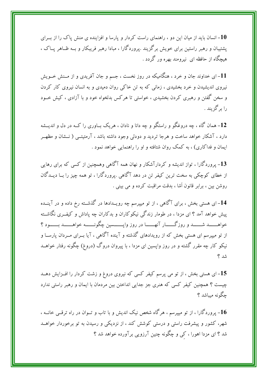10– انسان باید از میان این دو ، راهنمای راست کردار و یارسا و افزاینده ی منش یاک را از بــرای یشتیبان و رهبر راستین برای خویش برگزیند .یروردگارا ، مبادا رهبر فریبکار و بــه ظــاهر پــاک ، هیچگاه از حافظه ای نیرومند بهره ور گردد .

11- ای خداوند جان و خرد ، هنگامیکه در روز نخست ، جسم و جان آفریدی و از مــنش خــویش نیروی اندیشیدن و خرد بخشیدی ، زمانی که به تن خاکی روان دمیدی و به انسان نیروی کار کردن و سخن گفتن و رهبری کردن بخشیدی ، خواستی تا هرکس بدلخواه خود و با آزادی ، کیش خــود را پر گڼ بند .

12– همان گاه ، چه دروغگو و راستگو و چه دانا و نادان ، هریک بــاوری را کــه در دل و اندیــشه دارد ، آشکار خواهد ساخت و هرجا تردید و دودلی وجود داشته باشد ، آرمئیتــی ( نــشان و مظهــر ایمان و فداکاری) ، به کمک روان شتافته و او را راهنمایی خواهد نمود .

13- پروردگارا ، تواز اندیشه و کردارآشکار و نهان همه آگاهی وهمچنین از کسی که برای رهایی از خطای کوچکی به سخت ترین کیفر تن در دهد آگاهی .پروردگارا ، تو همه چیز را بــا دیـــدگان روشن بین ، برابر قانون اَشا ، بدقت مراقبت کرده و می بینی .

14– ای هستی بخش ، برای آگاهی ، از تو میپرسم چه رویــدادها در گذشــته رخ داده و در آینــده پیش خواهد آمد ؟ ای مزدا ، در طومار زندگی نیکوکاران و بدکاران چه پاداش و کیف ی نگاشــته خواهــــــــــد شـــــــــد و روزگــــــار آنهـــــــا در روز وايــــــــسين چگونـــــــه خواهـــــــد بــــــود ؟ از تو میپرسم ای هستی بخش که از رویدادهای گذشته و آینده آگاهی ، آیا بــرای مــردان پارســا و نیکو کار چه مقرر گشته و در روز واپسین ای مزدا ، با پیروان دروگ (دروغ) چگونه رفتار خواهــد شد ؟

15– ای هستی بخش ، از تو می پرسم کیفر کسی که نیروی دروغ و زشت کردار را افــزایش دهــد چیست ؟ همچنین کیفر کسی که هنری جز جدایی انداختن بین مردمان با ایمان و رهبر راستی ندارد جگونه میباشد ؟

ورودگارا ، از تو میپرسم ، هرگاه شخص نیک اندیش و با تاب و تــوان در راه ترقــی خانــه ، $16$ شهر، کشور و پیشرفت راستی و درستی کوشش کند ، از نزدیکی و رسیدن به تو برخوردار خواهــد شد ؟ ای مزدا اهورا ، کی و چگونه چنین آرزویی برآورده خواهد شد ؟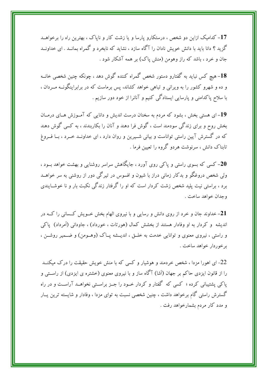17- کدامیک ازاین دو شخص ، درستکارو پارسا و یا زشت کار و ناپاک ، بهترین راه را برخواهــد گزید ؟ دانا باید با دانش خویش نادان را آگاه سازد ، نشاید که نابخرد و گمراه بمانــد . ای خداونــد جان و خرد ، باشد که راز وهومن (منش یاک) بر همه آشکار شود .

18- هیچ کس نباید به گفتارو دستور شخص گمراه کننده گوش دهد ، چونکه چنین شخصی خانسه و ده و شهرو کشور را به ویرانی و تباهی خواهد کشاند، پس برماست که در برابراینگونــه مــردان ، با سلاح پاکدامنی و پارسایی ایستادگی کنیم و آنانرا از خود دور سازیم .

19-ای هستی بخش ، بشود که مردم به سخنان درست اندیش و دانایی که آمـوزش هـای درمـان بخش روح و برای زندگی سودمند است ، گوش فرا دهند و آنان را بکاربندند ، به کسی گوش دهند که در گسترش آیین راستی تواناست و بیانی شــیرین و روان دارد ، ای خداونــد خــرد ، بــا فــروغ تابناک دانش ، سرنوشت هردو گروه را تعیین فرما .

20- کسی که بسوی راستی و پاکی روی آورد ، جایگاهش سراسر روشنایی و بهشت خواهد بـود ، ولی شخص دروغگو و بدکار زمانی دراز با شیون و افسوس در تیرگی دور از روشنی به سر خواهــد برد ، براستی نیت پلید شخص زشت کردار است که او را گرفتار زندگی نکبت بار و نا خوشــایندی وحدان خواهد ساخت .

- خداوند جان و خرد از روی دانش و رسایی و با نیروی الهام بخش خــویش کــسانی را کــه در $\,$ اندیشه و کردار به او وفادار هستند از بخشش کمال (هورتات ، خورداد) ، جاودانی (اَمرداد) یاکی و راستی ، نیروی معنوی و توانایی خدمت به خلــق ، اندیــشه پــاک (وهــومن) و ضــمیر روشــن ، برخوردار خواهد ساخت .

22- ای اهورا مزدا ، شخص خردمند و هوشیار و کسی که با منش خویش حقیقت را درک میکنــد را از قانون ایزدی حاکم بر جهان (اَشا) آگاه ساز و با نیروی معنوی (خشتره ی ایزدی) از راســتی و یاکی پشتیبانی کرده ؛ کسی که گفتار و کردار خـود را جـز براسـتی نخواهــد آراســت و در راه گسترش راستی گام برخواهد داشت ، چنین شخصی نسبت به توای مزدا ، وفادار و شایسته ترین پــار و مدد کار مردم بشمارخواهد رفت .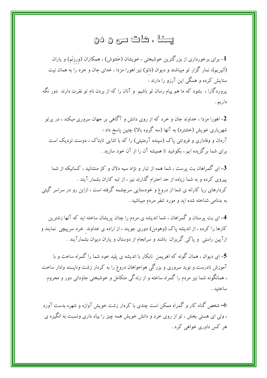#### يسثا ، هاڭ سى و دو

1- برای برخورداری از بزرگترین خوشبختی ، خویشان (خَئتوش) ، همکاران (ورزنَم) و یاران (اَئیریم)، نمار گزار تو میباشند و دیوان (دَئوَ) نیز اهورا مزدا ، خدای جان و خرد را به همان نیت ستایش کرده و همگی این آرزو را دارند : پروردگارا ، بشود که ما هم پیام رسان تو باشیم ۖ و آنان را که از بردن نام تو نفرت دارند ۖ دور نگه داريم .

2– اهورا مزدا ، خداوند جان و خرد که از روی دانش و آگاهی بر جهان سروری میکند ، در پرتو شهریاری خویش (خشتره) به آنها (سه گروه بالا) چنین پاسخ داد : آرمان و وفاداری و فروتنی پاک (سینده آرمئیتی) را که با اشایی تابناک ، دوست نزدیک است برای شما برگزیده ایم ، بکوشید تا همیشه آن را از آن خود سازید .

3– ای گمراهان بت پرست ، شما همه از تبار و نژاد سیه دلان و کژ منشانید ، کسانیکه از شما پیروی کرده و به شما زیاده از حد احترام گذارند نیز ، از تبه کاران بشمار آیند . کردارهای ریا کارانه ی شما از دروغ و خودستایی سرچشمه گرفته است ، ازاین رو در سراسر گیتی به بدنامی شناخته شده اید و مورد تنفر مردم میباشید .

4– ای بت پرستان و گمراهان ، شما اندیشه ی مردم را چنان پریشان ساخته اید که آنها زشترین کارها را کرده ، از اندیشه پاک (وهومن) دوری جویند ، از اراده ی خداوند خرد سرپیچی نمایند و ازآیین راستی ًو پاکی گریزان باشند و سرانجام از دوستان و یاران دیوان بشمارآیند .

5– ای دیوان ، همان گونه که اهریمن نابکار با اندیشه ی پلید خود شما را گمراه ساخت و با آموزش نادرست و نوید سروری و بزرگی هواخواهان دروغ را به کردار زشت وناپسند وادار ساخت ، همانگونه شما نیز مردم را گمراه ساخته و از زندگی متکامل و خوشبختی جاودانی دور و محروم ساختىد .

– شخص گناه کار و گمراه ممکن است چندی با کردار زشت خویش آوازه و شهره بدست آورد $6\,$ ، ولی ای هستی بخش ، تو از روی خرد و دانش خویش همه چیز را بیاد داری ونسبت به انگیزه ی هر کس داوري خواهي کړد .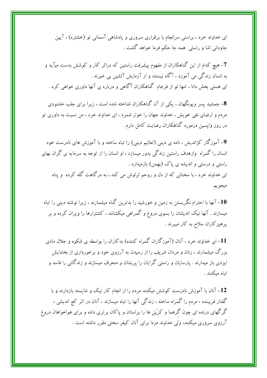ای خداوند خرد ، براستی سرانجام با برقراری سروری و پادشاهی آسمانی تو (خشتره) ، آیین جاودانی اشا و راستی ً همه جا حکم فرما خواهد گشت .

7- هیچ کدام از این گناهکاران از مفهوم پیشرفت راستین که دراثر کار و کوشش بدست میآید و به انسان زندگی می آموزد ، آگاه نیستند و از آزمایش آتشین بی خبرند . ای هستی بخش دانا ، تنها تو از فرجام گناهکاران آگاهی و درباره ی آنها داوری خواهی کرد .

8- جمشید پسر ویونگهان ، یکی از آن گناهکاران شناخته شده است ، زیرا برای جلب خشنودی مردم و ارضای نفی خویش ، خداوند جهان را خوار شمرد ، ای خداوند خرد ، من نسبت به داوری تو در روز واپسین درمورد گناهکاران رضایت کامل دارم .

9- آموزگار کژاندیش ، نامه ی دینی (تعالیم دینی) را تباه ساخته و با آموزش های نادرست خود انسان را گمراه ۖ وازهدف راستین زندگی بدور میسازد ، او انسان را از توجه به سرمایه ی گران بهای راستی و درستی و اندیشه ی یاک (بهمن) بازمیدارد . ای خداوند خرد ، با سخنانی که از دل و روحم تراوش می کند ، به درگاهت گله کرده ًو یناه ميجويم.

نها با احترام نگریستن به زمین و خورشید را بدترین گناه میشمارند ، زیرا نوشته دینی را تباه $\bm{-10}$ میسازند . آنها نیک اندیشان را بسوی دروغ و گمراهی میکشانند ، کشتزارها را ویران کرده و بر پرهیزکاران سلاح به کار میبرند .

11– ای خداوند خرد ، آنان (آموزگاران گمراه کننده) بدکاران را بواسطه ی شکوه و جلال مادی بزرگ میشمارند ، زنان و مردان شریف را از رسیدن به آرزوی خود و برخورداری از بخشایش ایزدی باز میدارند . پارسایان و راستی گرایان را پریشان و منحرف میسازند و زندگانی را فاسد و تياه ميكنند .

12– آنان با آموزش نادرست کوشش میکنند مردم را از انجام کار نیک و شایسته بازدارند و با گفتار فریبنده ، مردم را گمراه ساخته ، زندگی آنها را تباه میسازند ، آنان در اثر کج اندیشی ، گرگهای درنده ای چون گرهما و کرَپَن ها را براستان و پاکان برتری داده و برای هواخواهان دروغ آرزوی سروری میکنند، ولی خداوند مزدا برای آنان کیفر سختی مقرر داشته است .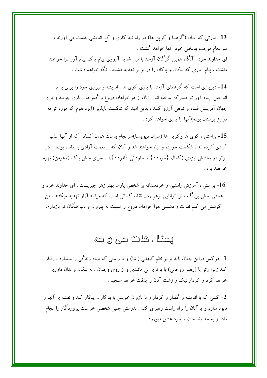13– قدرتی که اینان (گرهما و کرپن ها) در راه تبه کاری و کج اندیشی بدست می آورند ، سرانجام موجب بدبختی خود آنها خواهد گشت . ای خداوند خرد ، آنگاه همین گرگان آزمند با میل شدید آرزوی پیام پاک پیام آور ترا خواهند داشت ، پیام آوری که نیکان و پاکان را در برابر تهدید دشمنان نگه خواهد داشت .

14- دیربازی است که گرهمای آزمند با پاری کوی ها ، اندیشه و نیروی خود را برای بدام انداختن پیام آور تو متمرکز ساخته اند . آنان از هواخواهان دروغ و گمراهان پاری جویند و برای جهان آفرینش فساد و تباهی آرزو کنند ، بدین امید که شکست ناپذیر (ایزد هوم که مورد توجه دروغ پرستان بوده)آنها را یاری خواهد کرد .

15- براستی ، کوی ها وکرین ها (سران دیویسنا)سرانجام بدست همان کسانی که از آنها سلب آزادی کرده اند ، شکست خورده و تباه خواهند شد و آنان که از نعمت آزادی بازمانده بودند ، در یرتو دو بخشش ایزدی (کمال {خورداد} و جاودانی {امرداد}) از سرای منش یاک (وهومن) بهره خواهند بر د .

براستی ، آموزش راستین و خردمندانه ی شخص پارسا بهترازهر چیزیست ، ای خداوند خرد و  $16\,$ هستی بخش بزرگ ، ترا توانایی برهم زدن نقشه کسانی است که مرا به آزار تهدید میکنند ، من کوشش می کنم نفرت و دشمنی هوا خواهان دروغ را نسبت به پیروان و دلباختگان تو بازدارم.

يسئا ، هات سري و سه

<mark>1</mark>– هرکس دراین جهان باید برابر نظم کیهانی (اشا) و یا راستی که بنیاد زندگی را میسازد ، رفتار کند زیرا رتو یا (رهبر روحانی) با برتری بی مانندی و از روی وجدان ، به نیکان و بدان داوری خواهد کرد و کردار نیک و زشت آنان را بدقت خواهد سنجید .

2- کسی که با اندیشه و گفتار و کردار و با بازوان خویش با بدکاران پیکار کند و نقشه ی آنها را نابود سازد و یا آنان را براه راست رهبری کند ، بدرستی چنین شخصی خواست پروردگار را انجام داده و به خداوند جان و خرد عشق میورزد .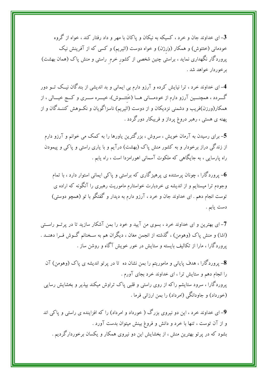- ای خداوند جان و خرد ، کسیکه به نیکان و پاکان با مهر و داد رفتار کند ، خواه از گروه $\mathcal S$ خودمانی (خئتوش) و همکار (وَرزن) و خواه دوست (ائیریم) و کسی که از آفرینش نیک پروردگار نگهداری نماید ، براستی چنین شخصی از کشور خرم راستی و منش پاک (همان بهشت) برخوردار خواهد شد .

4- ای خداوند خرد ، ترا نیایش کرده و آرزو دارم بی ایمانی و بد اندیشی از بندگان نیــک تــو دور گـــردد ، همچنــــین آرزو دارم از خودمــــانی هـــا (خَئتـــوش)، خیــــره ســــری و کـــج خیــــالی ، از همکار(ورزن)فریب و دشمنی نزدیکان و از دوست (ائیریم) ناسزاگویان و نکــوهش کننــدگان و از پهنه ی هستی ، رهبر دروغ پرداز و فریبکار دورگردد .

5- برای رسیدن به آرمان خویش ، سروش ، بزرگترین یاورها را به کمک می خوانم و آرزو دارم از زندگی دراز برخودار و به کشور منش پاک (بهشت) درآیم و با یاری راستی و پاکی و پیمودن راه پارسایی ، به جایگاهی که ملکوت آسمانی اهورامزدا است ، راه یابم .

وروردگارا ، چونان پرستنده ی پرهیزگاری که براستی و پاکی ایمانی استوار دارد ، با تمام $\bf 6$ وجودم ترا میستایم و از اندیشه ی خردبارت خواستارم ماموریت رهبری را آنگونه که اراده ی توست انجام دهم . ای خداوند جان و خرد ، آرزو دارم به دیدار و گفتگو با تو (همچو دوستی) دست يابم .

7- ای بهترین و ای خداوند خرد ، بسوی من آیید و خود را بمن آشکار سازید تا در پرتــو راســتی (اشا) و منش پاک (وهومن) ، گذشته از انجمن مغان ، دیگران هم به سـخنانم گــوش فــرا دهنــد . پروردگارا ، مارا از تکالیف بایسته و ستایش در خور خویش آگاه و روشن ساز .

8- پروردگارا ، هدف پایانی و ماموریتم را بمن نشان ده تا در پرتو اندیشه ی پاک (وهومن) آن را انجام دهم و ستایش ترا ، ای خداوند خرد بجای آورم . پروردگارا ، سرود ستایشم راکه از روی راستی و قلبی پاک تراوش میکند بپذیر و بخشایش رسایی (خورداد) و جاودانگی (امرداد) را بمن ارزانی فرما .

9- ای خداوند خرد ، این دو نیروی بزرگ ( خورداد و امرداد) را که افزاینده ی راستی و یاکی اند و از آن توست ، تنها با خرد و دانش و فروغ بینش میتوان بدست آورد . بشود که در پرتو بهترین منش ، از بخشایش این دو نیروی همکار و یکسان برخوردارگردیم .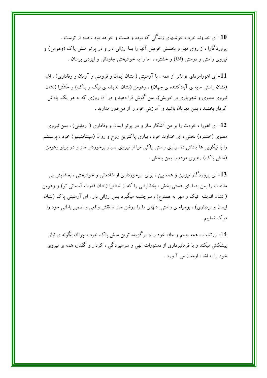ای خداوند خرد ، خوشیهای زندگی که بوده و هست و خواهد بود ، همه از توست . $\mathbf{10}$ پروردگارا ، از روی مهر و بخشش خویش آنها را بما ارزانی دار و در پر تو منش پاک (وهومن) و نیروی راستی و درستی (اشا) و خشتره ، ما را به خوشبختی جاودانی و ایزدی برسان .

11- ای اهورامزدای تواناتر از همه ، با آرمئیتی ( نشان ایمان و فروتنی و آرمان و وفاداری) ، اشا (نشان راستی مایه ی آبادکننده ی جهان) ، وهومن (نشان اندیشه ی نیک و پاک) و خَشَترا (نشان نیروی معنوی و شهریاری بر خویش)، بمن گوش فرا دهید و در آن روزی که به هر یک یاداش کردار بخشند ، بمن مهربان باشید و آمرزش خود را از من دور مدارید .

12– ای اهورا ، خودت را بر من آشکار ساز و در پرتو ایمان و وفاداری (آرمئیتی) ، بمن نیروی معنوی (خشتره) بخش ، ای خداوند خرد ، بیاری یاکترین روح و روان (سینتامئینیو) خود ، پرستشم را با نیکویی ها پاداش ده .بیاری راستی پاکی مرا از نیروی بسیار برخوردار ساز و در پرتو وهومن (منش پاک) رهبری مردم را بمن ببخش .

13- ای پروردگار تیزبین و همه بین ، برای برخورداری از شادمانی و خوشبختی ، بخشایش بی مانندت را بمن بنما .ای هستی بخش ، بخشایشی را که از خشترا (نشان قدرت آسمانی تو) و وهومن ( نشان اندیشه نیک و مهر به همنوع) ، سرچشمه میگیرد بمن ارزانی دار . ای آرمئیتی پاک (نشان ایمان و بردباری) ، بوسیله ی راستی، دلهای ما را روشن ساز تا نقش واقعی و ضمیر باطنی خود را درک نماییم .

14- زرتشت ، همه جسم و جان خود را با برگزیده ترین منش یاک خود ، چونان بگونه ی نیاز پیشکش میکند و با فرمانبرداری از دستورات الهی و سرسیردگی ، کردار و گفتار، همه ی نیروی خود را به اشا ، ارمغان می آ ورد .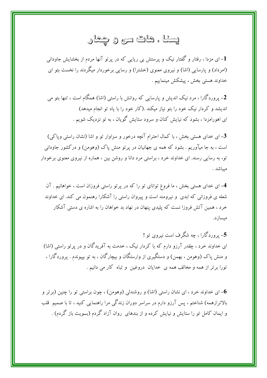# يسئا ، هات سي و چمار

۔<br>1– ای مزدا ، رفتار و گفتار نیک و پرستش بی ریایی که در پرتو آنها مردم از بخشایش جاودانی (امرداد) و پارسایی (اشا) و نیروی معنوی (خشترا) و رسایی برخوردار میگردند را نخست بتو ای خداوند هستي بخش ، پيشكش مينماييم .

2- پروردگارا ، مرد نیک اندیش و پارسایی که روانش با راستی (اشا) همگام است ، تنها بتو می اندیشد و کردار نیک خود را بتو نیاز میکند .(کار خود را با یاد تو انجام میدهد) ای اهورامزدا ، بشود که نیایش کنان و سرود ستایش گویان ، به تو نزدیک شویم .

3- ای خدای هستی بخش ، با کمال احترام آنچه درخور و سزاوار تو و اشا (نشان راستی ویاکی) است ، به جا میآوریم . بشود که همه ی جهانیان در پرتو منش پاک (وهومن) و درکشور جاودانی تو، به رسایی رسند. ای خداوند خرد ، براستی مرد دانا و روشن بین ، هماره از نیروی معنوی برخودار مبياشد .

4- ای خدای هستی بخش ، ما فروغ توانای تو را که در پرتو راستی فروزان است ، خواهانیم . آن شعله ی فروزانی که ابدی و نیرومند است و پیروان راستی را آشکارا رهنمون می کند. ای خداوند خرد ، همین آتش فروزا نست که پلیدی پنهان در نهاد بد خواهان را به اشاره ی دستی آشکار ميسازد.

5- پروردگارا ، چه شگرف است نیروی تو ! ای خداوند خرد ، چقدر آرزو دارم که با کردار نیک ، خدمت به آفریدگان و در پرتو راستی (اشا) و منش پاک (وهومن ، بهمن) و دستگیری از وارستگان و بیچارگان ، به تو بپیوندم . پروردگارا ، تورا برتر از همه و مخالف همه ی خدایان دروغین و تباه کار می دانیم .

ای خداوند خرد ، ای نشان راستی (اشا) و روشندلی (وهومن) ، چون براستی تو را چنین (برتر و $\bf 6$ بالاترازهمه) شناختم ، پس آرزو دارم در سراسر دوران زندگی مرا راهنمایی کنید ، تا با صمیم قلب و ایمان کامل تو را ستایش و نیایش کرده و از بندهای روان آزاد گردم (بسویت باز گردم) .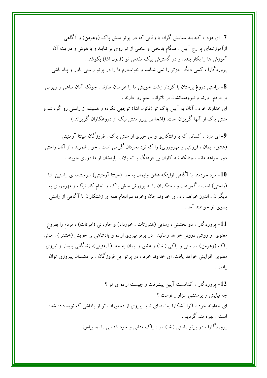7-ای مزدا ، کجایند ستایش گران با وفایی که در پر تو منش پاک (وهومن) و آگاهی ازآموزشهای پرارج آیین ، هنگام بدبختی و سختی از تو روی بر نتابند و با هوش و درایت آن آموزش ها را بکار بندند و در گسترش پیک مقدس تو (قانون اشا) بکوشند . یروردگارا ، کسی دیگر جزتو را نمی شناسم و خواستارم ما را در پرتو راستی یاور و پناه باشی.

8- براستی دروغ پرستان با کردار زشت خویش ما را هراسان سازند ، چونکه آنان تباهی و ویرانی بر مردم آورند و نیرومندانشان بر ناتوانان ستم روا دارند . ای خداوند خرد ، آنان به آیین پاک تو (قانون اشا) توجهی نکرده و همیشه از راستی رو گردانند و منش پاک از آنها گریزان است. (اشخاص پیرو منش نیک از دروغکاران گریزانند)

9- ای مزدا ، کسانی که با زشتکاری و پی خبری از منش پاک ، فروزگان سینتا آرمئیتی (عشق، ایمان ، فروتنی و مهرورزی) را که نزد بخردان گرامی است ، خوار شمرند ، از آنان راستی دور خواهد ماند ، چنانکه تبه کاران بی فرهنگ با تمایلات پلیدشان از ما دوری جویند .

مرد خردمند با آگاهی ازاینکه عشق وایمان به خدا (سینتا آرمئیتی) سرچشمه ی راستین اشا $\bm{10}$ (راستی) است ، گمراهان و زشتکاران را به پرورش منش پاک و انجام کار نیک و مهرورزی به دیگران ، اندرز خواهد داد .ای خداوند جان وخرد، سرانجام همه ی زشتکاران با آگاهی از راستی بسوي تو خواهند آمد .

11- پروردگارا ، دو بخشش : رسایی (هئورتات ، خورداد) و جاودانی (امرتات) ، مردم را بفروغ معنوی و روشن درونی خواهد رسانید . در پر تو نیروی اراده و یادشاهی بر خویش (خشترا) ، منش پاک (وهومن) ، راستی و پاکی (اشا) و عشق و ایمان به خدا (آرمئیتی)، زندگانی پایدار و نیروی معنوی افزایش خواهد یافت. ای خداوند خرد ، در پرتو این فروزگان ، بر دشمنان پیروزی توان ىافت .

12- یروردگارا ، کدامست آیین پیشرفت و چیست اراده ی تو ؟ چه نیایش و پرستشی سزاوار توست ؟ ای خداوند خرد ، آنرا آشکارا بما بنمای تا با پیروی از دستورات تو از پاداشی که نوید داده شده است ، بهره مند گردیم . پروردگارا ، در پرتو راستی (اشا) ، راه پاک منشی و خود شناسی را بما بیاموز .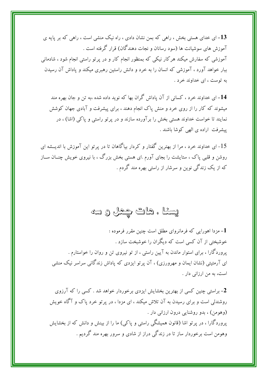13– ای خدای هستی بخش ، راهی که بمن نشان دادی ، راه نیک منشی است ، راهی که بر پایه ی آموزش های سوشیانت ها (سود رسانان و نجات دهندگان) قرار گرفته است . آموزشی که سفارش میکند هرکار نیکی که بمنظور انجام کار و در پرتو راستی انجام شود ، شادمانی ببار خواهد آورد ، آموزشی که انسان را به خرد و دانش راستین رهبری میکند و یاداش آن رسیدن به توست ، ای خداوند خرد .

14– ای خداوند خرد ، کسانی از آن یاداش گران بها که نوید داده شده ،به تن و جان بهره مند میشوند که کار را از روی خرد و منش یاک انجام دهند ، برای پیشرفت و آبادی جهان کوشش نمایند تا خواست خداوند هستی بخش را بر آورده سازند و در پرتو راستی و پاکی (اشا) ، در پیشرفت اراده ی الهی کوشا باشند .

15- ای خداوند خرد ، مرا از بهترین گفتار و کردار بیاگاهان تا در پر تو این آموزش با اندیــشه ای روشن و قلبی پاک ، ستایشت را بجای آورم .ای هستی بخش بزرگ ، با نیروی خویش چنــان ســاز که از یک زندگی نوین و سرشار از راستی بهره مند گردم .

# يسئا ، هات چمل و سه

1- مزدا اهورایی که فرمانروای مطلق است چنین مقرر فرموده : خوشبختی از آن کسی است که دیگران را خوشبخت سازد . یروردگارا ، برای استوار ماندن به آیین راستی ، از تو نیروی تن و روان را خواستارم . ای آرمئیتی (نشان ایمان و مهرورزی) ، آن پرتو ایزدی که یاداش زندگانی سراسر نیک منشی است، به من ارزانی دار .

2- براستی چنین کسی از بهترین بخشایش ایزدی برخوردار خواهد شد . کسی را که آرزوی روشندلی است و برای رسیدن به آن تلاش میکند ، ای مزدا ، در پرتو خرد پاک و آگاه خویش (وهومن) ، بدو روشنایی درون ارزانی دار . پروردگارا ، در پرتو اشا (قانون همیشگی راستی و پاکی) ما را از بینش و دانش که از بخشایش وهومن است برخوردار ساز تا در زندگی دراز از شادی و سرور بهره مند گردیم .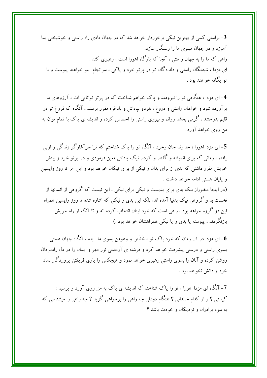3- براستی کسی از بهترین نیکی برخوردار خواهد شد که در جهان مادی راه راستی و خوشبختی بما آموزد و در جهان مبنوی ما را رستگار سازد. راهی که ما را به جهان راستی ، آنجا که بارگاه اهورا است ، رهبری کند . ای مزدا ، شیفتگان راستی و دلدادگان تو در پرتو خرد و پاکی ، سرانجام بتو خواهند پیوست و با تو یگانه خواهند بود .

4- ای مزدا ، هنگامی تو را نیرومند و پاک خواهم شناخت که در پرتو توانایی ات ، آرزوهای ما برآورده شود و خواهان راستی و دروغ ، هردو بپاداش و بادافره مقرر برسند ، آنگاه که فروغ تو در قلبم بدرخشد ، گرمی بخشد روانم و نیروی راستی را احساس کرده و اندیشه ی پاک با تمام توان به من روي خواهد آورد .

5– ای مزدا اهورا ؛ خداوند جان وخرد ، آنگاه تو را پاک شناختم که ترا سرآغازگر زندگی و ازلی یافتم ، زمانی که برای اندیشه و گفتار و کردار نیک پاداش معین فرمودی و در پرتو خرد و بینش خویش مقرر داشتی که بدی از برای بدان و نیکی از برای نیکان خواهد بود و این امر تا روز واپسین و پایان هستی ادامه خواهد داشت .

(در اینجا منظورازاینکه بدی برای بدیست و نیکی برای نیکی ، این نیست که گروهی از انسانها از نخست بد و گروهی نیک بدنیا آمده اند، بلکه این بدی و نیکی که اشاره شده تا روز وایسین همراه این دو گروه خواهد بود ، راهی است که خود اینان انتخاب کرده اند و تا آنکه از راه خویش بازنگردند ، پیوسته یا بدی و یا نیکی همراهشان خواهد بود .)

ای مزدا در آن زمان که خرد پاک تو ، خَشَترا و وهومن بسوی ما آیند ، آنگاه جهان هستی $\bf 6$ بسوی راستی و درستی پیشرفت خواهد کرد و فرشته ی آرمئیتی نور مهر و ایمان را در دل رادمردان روشن کرده و آنان را بسوی راستی رهبری خواهد نمود و هیچکس را یاری فریفتن پروردگار نماد خرد و دانش نخواهد بود .

7- آنگاه ای مزدا اهورا ، تو را پاک شناختم که اندیشه ی پاک به من روی آورد و پرسید : کیستی ؟ و از کدام خاندانی ؟ هنگام دودلی چه راهی را برخواهی گزید ؟ چه راهی را میشناسی که به سود برادران و نزدیکان و خودت باشد ؟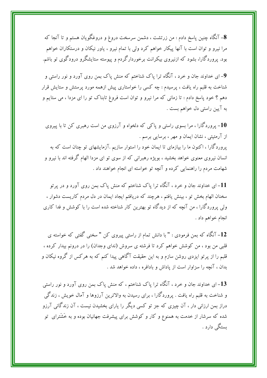8- آنگاه چنین پاسخ دادم : من زرتشت ، دشمن سرسخت دروغ و دروغگویان هستم و تا آنجا که مرا نیرو و توان است با آنها پیکار خواهم کرد ولی با تمام نیرو ، یاور نیکان و درستکاران خواهم بود. پروردگارا، بشود که ازنیروی بیکرانت برخوردارگردم و پیوسته ستایشگرو درودگوی تو باشم.

9– ای خداوند جان و خرد ، آنگاه ترا پاک شناختم که منش پاک بمن روی آورد و نور راستی و شناخت به قلبم راه یافت ، پرسیدم : چه کسی را خواستاری پیش ازهمه مورد پرستش و ستایش قرار دهم ؟ خود پاسخ دادم : تا زمانی که مرا نیرو و توان است فروغ تابناک تو را ای مزدا ، می ستایم و به آيين راستي دل خواهم بست .

10- پروردگارا ، مرا بسوی راستی و پاکبی که دلخواه و آرزوی من است رهبری کن تا با پیروی از آرمئیتی ، نشان ایمان و مهر ، برسایی برسم . پروردگارا ، اکنون ما را بیازمای تا ایمان خود را استوار سازیم .آزمایشهای تو چنان است که به انسان نیروی معنوی خواهد بخشید ، بویژه رهبرانی که از سوی تو ای مزدا الهام گرفته اند با نیرو و شهامت مردم را راهنمایی کرده و آنچه تو خواسته ای انجام خواهند داد .

11- ای خداوند جان و خرد ، آنگاه ترا پاک شناختم که منش پاک بمن روی آورد و در پرتو سخنان الهام بخش تو ، بینش یافتم ، هرچند که دریافتم ایجاد ایمان در دل مردم کاریست دشوار ، ولی پروردگارا ، من آنچه که از دیدگاه تو بهترین کار شناخته شده است را با کوشش و فدا کاری انجام خواهم داد .

12- آنگاه که بمن فرمودی : " با دانش تمام از راستی پیروی کن " سخنی گفتی که خواسته ی قلبی من بود ، من کوشش خواهم کرد تا فرشته ی سروش (ندای وجدان) را در درونم بیدار کرده ، قلبم را از پرتو ایزدی روشن سازم و به این حقیقت آگاهی پیدا کنم که به هرکس از گروه نیکان و بدان ، آنچه را سزاوار است از یاداش و بادافره ، داده خواهد شد .

13– ای خداوند جان و خرد ، آنگاه ترا پاک شناختم ، که منش پاک بمن روی آورد و نور راستی و شناخت به قلبم راه یافت . پروردگارا ، برای رسیدن به والاترین آرزوها و آمال خویش ، زندگی دراز بمن ارزانی دار ، آن چیزی که جز تو کسی دیگر را یارای بخشیدن نیست ، آن زندگانی آرزو شده که سرشار از خدمت به همنوع و کار و کوشش برای پیشرفت جهانیان بوده و به خَشَترای تو ىستگى دارد .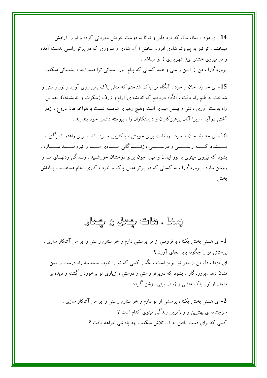14- ای مزدا ، بدان سان که مرد دلیر و توانا به دوست خویش مهربانی کرده و او را آرامش میبخشد ، تو نیز به پیروانم شادی افرون ببخش ؛ آن شادی و سروری که در پر تو راستی بدست آمده و در نیروی خشترا ی( شهریاری ) تو میباشد . پروردگارا ، من از آیین راستی و همه کسانی که پیام آور آسمانی ترا میسرایند ، پشتیبانی میکنم.

15– ای خداوند جان و خرد ، آنگاه ترا پاک شناختم که منش پاک بمن روی آورد و نور راستی و شناخت به قلبم راه یافت ، آنگاه دریافتم که اندیشه ی آرام و ژرف (سکوت و اندیشیدن)، بهترین راه بدست آوری دانش و بینش مینوی است وهیچ رهبری شایسته نیست با هواخواهان دروغ ، ازدر آشتی درآید ، زیرا آنان پرهیز کاران و درستکاران را ، پیوسته دشمن خود پندارند .

ای خداوند جان و خرد ، زرتشت برای خویش ، پاکترین خـرد را از بـرای راهنمــا برگزیــد . $16\,$ بسسشود کسسه راسسستی و درسسستی ، زنسسدگانی مسسادی مسسا را نیرومنسسد سسسازد . بشود که نیروی مینوی با نور ایمان و مهر، چون پرتو درخشان خورشـید ، زنــدگی ودلهــای مــا را روشن سازد . پروردگارا ، به کسانی که در پرتو منش پاک و خرد ، کاری انجام میدهنــد ، پــاداش بخش .

# پینا ، هاگ چمل و چمار

- ای هستی بخش یکتا ، با فروتنی از تو پرسشی دارم و خواستارم راستی را بر من آشکار سازی  $\bm{1}$ یرستش تو را چگونه باید بجای آورد ؟ ای مزدا ، دل من از مهر تو لبریز است ، بگذار کسی که تو را خوب میشناسد راه درست را بمن نشان دهد .پروردگارا ، بشود که دریر تو راستی و درستی ، ازیاری تو برخوردار گشته و دیده ی دلمان از نور یاک منشی و ژرف بینی روشن گردد .

2- ای هستی بخش یکتا ، پرسشی از تو دارم و خواستارم راستی را بر من آشکار سازی . سرچشمه ی بهترین و والاترین زندگی مینوی کدام است ؟ کسی که برای دست یافتن به آن تلاش میکند ، چه پاداشی خواهد یافت ؟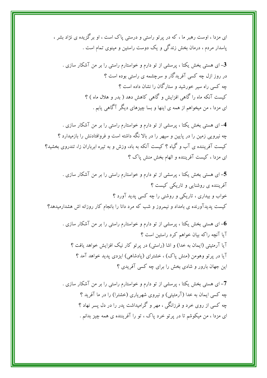ای مزدا ، اوست رهبر ما ، که در پرتو راستی و درستی پاک است ، او برگزیده ی نژاد بشر ، پاسدار مردم ، درمان بخش زندگی و یک دوست راستین و مینوی تمام است .

3– ای هستی بخش یکتا ، پرسشی از تو دارم و خواستارم راستی را بر من آشکار سازی . در روز ازل چه کسی آفریدگار و سرچشمه ی راستی بوده است ؟ چه کسی راه سیر خورشید و ستارگان را نشان داده است ؟ کیست آنکه ماه را گاهی افزایش و گاهی کاهش دهد ( بدر و هلال ماه ) ؟ ای مزدا ، من میخواهم از همه ی اینها و بسا چیزهای دیگر آگاهی یابم .

4- ای هستی بخش یکتا ، پرسشی از تو دارم و خواستارم راستی را بر من آشکار سازی . چه نیرویی زمین را در پایین و سیهر را در بالا نگه داشته است و فروافتادنش را بازمیدارد ؟ کیست آفریننده ی آب و گیاه ؟ کیست آنکه به باد، وزش و به تیره ابرباران زا، تندروی بخشید؟ ای مزدا ، کیست آفریننده و الهام بخش منش پاک ؟

5– ای هستی بخش یکتا ، پرسشی از تو دارم و خواستارم راستی را بر من آشکار سازی . آفریننده ی روشنایی و تاریکی کیست ؟ خواب و بیداری ، تاریکی و روشنی را چه کسی پدید آورد ؟ کیست پدیدآورنده ی بامداد و نیمروز و شب که مرد دانا را بانجام کار روزانه اش هشدارمیدهد؟

ای هستی بخش یکتا ، پرسشی از تو دارم و خواستارم راستی را بر من آشکار سازی . $\bf 6$ آیا آنچه راکه بیان خواهم کرد راستین است ؟ آيا آرمئيتي (ايمان به خدا) و اشا (راستي) در پرتو كار نيک افزايش خواهد يافت ؟ آیا در پرتو وهومن (منش پاک) ، خشترای (پادشاهی) ایزدی پدید خواهد آمد ؟ این جهان بارور و شادی بخش را برای چه کسی آفریدی ؟

7- ای هستی بخش یکتا ، پرسشی از تو دارم و خواستارم راستی را بر من آشکار سازی . چه کسی ایمان به خدا (آرمئیتی) و نیروی شهریاری (خشترا) را در ما آفرید ؟ چه کسی از روی خرد و فرزانگی ، مهر و گرامیداشت پدر را در دل پسر نهاد ؟ ای مزدا ، من میکوشم تا در پرتو خرد پاک ، تو را آفریننده ی همه چیز بدانم .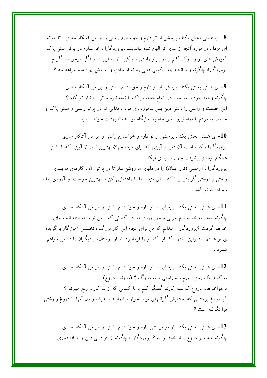8- ای هستی بخش یکتا ، پرسشی از تو دارم و خواستارم راستی را بر من آشکار سازی ، تا بتوانم ای مزدا ، در مورد آنچه از سوی تو الهام شده بیاندیشم .پروردگارا ، خواستارم در پرتو منش پاک ، آموزش های تو را درک کنم و در پرتو راستی و پاکی ، از رسایی در زندگی برخوردار گردم . پروردگارا، چگونه و با انجام چه نیکویی هایی روانم از شادی و آرامش بهره مند خواهد شد ؟

9- ای هستی بخش یکتا ، پرسشی از تو دارم و خواستارم راستی را بر من آشکار سازی . چگونه وجود خود را دربست در انجام خدمت پاک با تمام نیرو و توان ، نیاز تو کنم ؟ این حقیقت و راستی را دانش دین بمن بیاموزد .ای مزدا ، فدایی تو در پرتو راستی و منش پاک و خدمت به مردم با تمام نیرو ، سرانجام به جایگاه تو ، همانا بهشت خواهد رسید .

ای هستی بخش یکتا ، پرسشی از تو دارم و خواستارم راستی را بر من آشکار سازی . $\mathbf{10}$ پروردگارا ، کدام است آن دین و آیینی که برای مردم جهان بهترین است ؟ آیینی که با راستی همگام بوده و پیشرفت جهان را یاری میکند . پروردگارا ، آرمئیتی (نور ایمان) را در دلهای ما روشن ساز تا در پرتو آن ، کارهای ما بسوی راستی و درستی گرایش پیدا کند ، ای مزدا ، ما را راهنمایی کن تا بهترین خواست ً و آرزوی ً ما ، رسیدن به تو باشد .

ای هستی بخش یکتا ، پرسشی از تو دارم و خواستارم راستی را بر من آشکار سازی . $11\,$ چگونه ایمان به خدا و نرم خویی و مهر ورزی در دل کسانی که آیین تو را دریافته اند ، جای خواهد گرفت ؟پروردگارا ، میدانم که من برای انجام این کار بزرگ ، نخستین آموزگار برگزیده ی تو هستم ، بنابراین ، تنها ، کسانی که تو را فرمانبردارند از دوستان، و دیگران را دشمن خواهم شمر د .

ای هستی بخش یکتا ، پرسشی از تو دارم و خواستارم راستی را بر من آشکار سازی . $12\,$ به کدام یک روی آورم ، به راستی یا به دروگ ؟ (دروند ، دروغ) با هواخواهان دروغ که سیه کارند گفتگو کنم یا با کسانی که از بد کاران رنج میبرند ؟ آیا دروغ پرستانی که بخشایش گرانبهای تو را خوار میشمارند ، اندیشه و دل آنها را دروغ و زشتی فرا نگرفته است ؟

ای هستی بخش یکتا ، از تو پرسشی دارم و خواستارم راستی را بر من آشکار سازی . $\bf 13$ چگونه باید دیو دروغ را از خود برانیم ؟ پروردگارا ، چگونه از افراد بی دین و ایمان دوری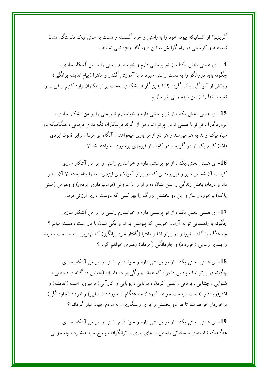گزینیم؟ از کسانیکه پیوند خود را با راستی و خرد گسسته و نسبت به منش نیک دلبستگی نشان نمیدهند و کوششی در راه گرایش به این فروزگان ویژه نمی نمایند .

14- ای هستی بخش یکتا ، از تو پرسشی دارم و خواستارم راستی را بر من آشکار سازی . چگونه باید دروغگو را به دست راستی سپرد تا با آموزش گفتار و مانترا (پیام اندیشه برانگیز) روانش از آلودگی پاک گردد ؟ تا بدین گونه ، شکستی سخت بر تباهکاران وارد کنیم و فریب و نفرت آنها را از بین برده و بی اثر سازیم.

15– ای هستی بخش یکتا ، از تو پرسشی دارم و خواستارم تا راستی را بر من آشکار سازی . پروردگارا ، تو توانا هستی تا در پرتو اشا ، مرا از گزند فریبکاران نگه داری فرمایی ، هنگامیکه دو سپاه نیک و بد به هم میرسند و هر دو از تو یاری میخواهند ، آنگاه ای مزدا ، برابر قانون ایزدی (اَشا) کدام یک از دو گروه و در کجا ، از فیروزی برخوردار خواهند شد ؟

ای هستی بخش یکتا ، از تو پرسشی دارم و خواستارم راستی را بر من آشکار سازی . $\mathbf{16}$ کیست آن شخص دلیر و فیروزمندی که در پرتو آموزشهای ایزدی ، ما را پناه بخشد ؟ آن رهبر دانا و درمان بخش زندگی را بمن نشان ده و او را با سروش (فرمانبرداری ایزدی) و وهومن (منش پاک) برخوردار ساز و این دو بخشش بزرگ را بهرکسی که دوست داری ارزانی فرما.

17- ای هستی بخش یکتا ، از تو پرسشی دارم و خواستارم راستی را بر من آشکار سازی . چگونه با راهنمایی تو به آرمان خویش که پیوستن به تو و یکی شدن با یار است ، دست میابم ؟ چه هنگام با گفتار شیوا و در پرتو اشا و مانترا (گفتار خرد برانگیز) که بهترین راهنما است ، مردم را بسوی رسایی (خورداد) و جاودانگی (اَمرداد) رهبری خواهم کرد ؟

18– ای هستی بخش یکتا ، از تو پرسشی دارم و خواستارم راستی را بر من آشکار سازی . چگونه در پرتو اشا ، پاداش دلخواه که همانا چیرگی بر ده مادیان (حواس ده گانه ی : بینایی ، شنوایی ، چشایی ، بویایی ، لمس کردن ، توانایی ، پویایی و کارآیی) با نیروی اسب (اندیشه) و اشتر(روشنایی) است ، بدست خواهم آورد ؟ چه هنگام از خورداد (رسایی) و اَمرداد (جاودانگی) برخوردار خواهم شد تا هر دو بخشش را برای رستگاری ، به مردم جهان نیار گردانم ؟

19– ای هستی بخش یکتا ، از تو پرسشی دارم و خواستارم راستی را بر من آشکار سازی . هنگامیکه نیازمندی با سخنانی راستین ، بجای یاری از توانگران ، پاسخ سرد میشنود ، چه سزایی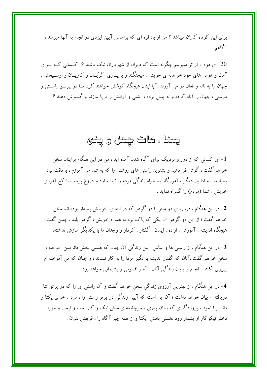برای این کوتاه کاران میباشد ؟ من از بادافره ای که براساس آیین ایزدی در انجام به آنها میرسد ، آگاهم .

.<br>20- ای مزدا ، از تو میپرسم چگونه است که دیوان از شهریاران نیک باشند ؟ کــسانی کــه بــرای آمال و هوس های خود خواهانه ی خویش ، میجنگند و با پــاری کَرَپَــان و کاویــان و اوســیخش ، جهان را به ناله و فغان در می آورند .آیا اینان هیچگاه کوشش خواهند کرد تــا در پرتــو راســتی و درستی ، جهان را آباد کرده و به پیش برده ، آشتی و آرامش را بریا سازند و گسترش دهند ؟

# يسئا ، هات چمل و ڀنٽج

1- ای کسانی که از دور و نزدیک برای آگاه شدن آمده اید ، من در این هنگام برایتان سخن خواهم گفت ، گوش فرا دهید و بشنوید راستی های روشنی را که به شما می آموزم ، با دقت بیاد بسپارید ، مبادا بار دیگر ، آموزگار بد خواه زندگی مردم را تباه سازد و دروغ پرست با کج آموزی خويش ، شما (مردم) را گمراه نمايد .

خواهم گفت ؛ از این دو گوهر آن یکی که پاک بود به همزاد خویش ، گوهر پلید ، چنین گفت : هیچگاه اندیشه ، آموزش ، اراده ، ایمان ، گفتار ، کردار و وجدان ما با یکدیگر سازش نداشته.

3- در این هنگام ، از راستی ها و اساس آیین زندگی آن چنان که هستی بخش دانا بمن آموخته ، سخن خواهم گفت .آنان که گفتار اندیشه برانگیز مزدا را به کار نبندند ، و چنان که من آموخته ام پیروی نکنند ، انجام و پایان زندگی آنان ، آه و افسوس و پشیمانی خواهد بود .

4- در این هنگام ، از بهترین آرزوی زندگی سخن خواهم گفت و آن راستی ای را که در پرتو اشا دریافته ام بیان خواهم داشت ؛ آن این است که آیین زندگی در پرتو راستی را ، مزدا ، خدای یکتا و دانا بریا نمود ، پروردگاری که بسان یدری ، سرچشمه ی منش نیک و کار است و ایمان و مهر، دختر نیکوکار او بشمار رود .هستی بخش یکتا و از همه چیز آگاه را ، فریفتن نتوان .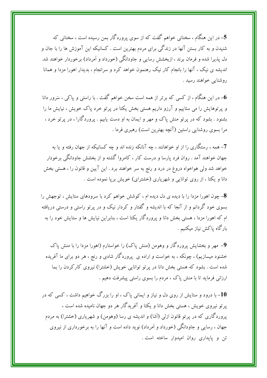5– در این هنگام ، سخنانی خواهم گفت که از سوی پروردگار بمن رسیده است ، سخنانی که شنیدن و به کار بستن آنها در زندگی برای مردم بهترین است . کسانیکه این آموزش ها را با جان و دل پذیرا شده و فرمان برند ، ازبخشش رسایی و جاودانگی (خورداد و اَمرداد) برخوردار خواهند شد. اندیشه ی نیک ، آنها را بانجام کار نیک رهنمون خواهد کرد و سرانجام ، بدیدار اهورا مزدا و همانا روشنايي خواهند رسيد .

در این هنگام ، از کسی که برتر از همه است سخن خواهم گفت . با راستی و یاکی ، سَرور دانا $\bullet$ و پرتوهایش را می ستاییم و آرزو داریم هستی بخش یکتا در پرتو خرد پاک خویش ، نیایش ما را بشنود . بشود که در پرتو منش پاک و مهر و ایمان به او دست یابیم . پروردگارا ، در پرتو خرد ، مرا بسوی روشنایی راستین (آنچه بهترین است) رهبری فرما .

7- همه ، رستگاری را از او خواهانند ، چه آنانکه زنده اند و چه کسانیکه از جهان رفته و یا به جهان خواهند آمد . روان فرد یارسا و درست کار ، کامروا گشته و از بخشش جاودانگی برخودار خواهد شد ولی هواخواه دروغ در درد و رنج به سر خواهند برد . این آیین و قانون را ، هستی بخش دانا و یکتا ، از روی توانایی و شهریاری (خشترای) خویش بریا نموده است .

8- چون اهورا مزدا را با دیده ی دل دیده ام ، کوشش خواهم کرد با سرودهای ستایش ، توجهش را بسوی خود گردانم و از آنجا که با اندیشه و گفتار و کردار نیک و در پرتو راستی و درستی دریافته ام که اهورا مزدا ، هستی بخش دانا و پروردگار یکتا است ، بنابراین نیایش ها و ستایش خود را به بارگاه پاکش نیاز میکنیم .

9- مهر و بخشایش پروردگار و وهومن (منش پاک) را خواستارم (اهورا مزدا را با منش پاک خشنود میسازیم) ، چونکه ، به خواست و اراده ی پروردگار شادی و رنج ، هر دو برای ما آفریده شده است . بشود که هستی بخش دانا در پرتو توانایی خویش (خشترا) نیروی کارکردن را بما ارزانی فرماید تا با منش پاک ، مردم را بسوی راستی پیشرفت دهیم .

10- با درود و ستایش از روی دل و نیاز و ایمانی یاک ، او را بزرگ خواهیم داشت ، کسی که در یرتو نیروی خویش ، هستی بخش دانا و یکتا و آفریدگار هر دو جهان نامیده شده است ، یروردگاری که در پرتو قانون ازلی (آشا) و اندیشه ی رسا (وهومن) و شهریاری (خشترا) به مردم جهان ، رسایی و جاودانگی (خورداد و اَمرداد) نوید داده است و آنها را به برخورداری از نیروی تن و پایداری روان امیدوار ساخته است .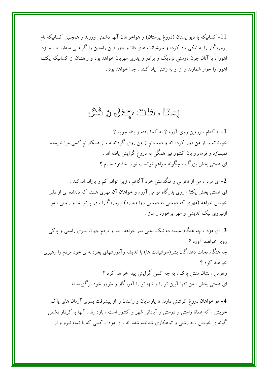11- کسانیکه با دیو یسنان (دروغ پرستان) و هواخواهان آنها دشمنی ورزند و همچنین کسانیکه نام پروردگار را به نیکی یاد کرده و سوشیانت های دانا و یاور دین راستین را گرامــی میدارنــد ، مــزدا اهورا ، با آنان چون دوستی نزدیک و برادر و یدری مهربان خواهد بود و راهشان از کسانیکه یکتــا اهورا را خوار شمارند و از او به زشتی یاد کنند ، جدا خواهد بود .

### يسئا ، هات چمل و شش

- به کدام سرزمین روی آورم ؟ به کجا رفته و پناه جویم ؟ خویشانم را از من دور کرده اند و دوستانم از من روی گرداندند ، از همکارانم کسی مرا خرسند نمیسازد و فرمانروایان کشور نیز همگی به دروغ گرایش یافته اند . ای هستی بخش بزرگ ، چگونه خواهم توانست تو را خشنود سازم ؟

- ای مزدا ، من از ناتوانی و تنگدستی خود آگاهم ، زیرا توانم کم و یارانم اندکند . ای هستی بخش یکتا ، روی بدرگاه تو می آورم و خواهان آن مهری هستم که دلداده ای از دلبر خویش خواهد (مهری که دوستی به دوستی روا میدارد) .پروردگارا ، در پرتو اشا و راستی ، مرا ازنیروی نیک اندیشی و مهر برخوردار ساز .

3– ای مزدا ، چه هنگام سپیده دم نیک بختی بدر خواهد آمد و مردم جهان بسوی راستی و پاکی روي خواهند آورد ؟ چه هنگام نجات دهندگان بشر(سوشیانت ها) با اندیشه وآموزشهای بخردانه ی خود مردم را رهبری خواهند کرد ؟ وهومن ، نشان منش پاک ، به چه کسی گرایش پیدا خواهد کرد ؟ ای هستی بخش ، من تنها آیین تو را و تنها تو را آموزگار و سَرور خود برگزیده ام .

4- هواخواهان دروغ کوشش دارند تا پارسایان و راستان را از پیشرفت بسوی آرمان های پاک خویش ، که همانا راستی و درستی و آبادانی شهر و کشور است ، بازدارند ، آنها با کردار دشمن گونه ی خویش ، به زشتی و تباهکاری شناخته شده اند . ای مزدا ، کسی که با تمام نیرو و از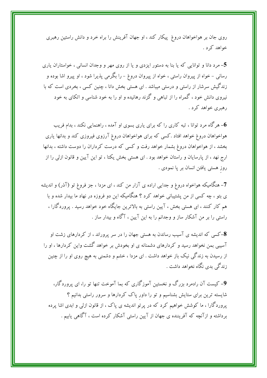روی جان بر هواخواهان دروغ پیکار کند ، او جهان آفرینش را براه خرد و دانش راستین رهبری خواهد کر د .

5- مرد دانا و توانایی که یا بنا به دستور ایزدی و یا از روی مهر و وجدان انسانی ، خواستاران یاری رسانی – خواه از پیروان راستی ، خواه از پیروان دروغ – را بگرمی پذیرا شود ، او پیرو اشا بوده و زندگیش سرشار از راستی و درستی میباشد . ای هستی بخش دانا ، چنین کسی ، بخردی است که با نیروی دانش خود ، گمراه را از تباهی و گزند رهانیده و او را به خود شناسی و اتکای به خود رهبري خواهد کرد .

هرگاه مرد توانا ، تبه کاری را که برای یاری بسوی او آمده ، راهنمایی نکند ، بدام فریب $\bf 6$ هواخواهان دروغ خواهد افتاد .كسى كه براى هواخواهان دروغ آرزوى فيروزى كند و بدانها يارى بخشد ، از هواخواهان دروغ بشمار خواهد رفت و كسى كه درست كرداران را دوست داشته ، بدانها ارج نهد ، از پارسایان و راستان خواهد بود . ای هستی بخش یکتا ، تو این آیین و قانون ازلی را از روز هستی یافتن انسان بر پا نمودی .

7- هنگامیکه هواخواه دروغ و جدایی اراده ی آزار من کند ، ای مزدا ، جز فروغ تو (آذر) و اندیشه ی بتو ، چه کسی از من پشتیبانی خواهد کرد ؟ هنگامیکه این دو فروزه در نهاد ما بیدار شده و با هم کار کنند ، ای هستی بخش ، آیین راستی به بالاترین جایگاه خود خواهد رسید . پروردگارا ، راستی را بر من آشکار ساز و وجدانم را به این آیین ، آگاه و بیدار ساز .

**8**–کسی که اندیشه ی آسیب رساندن به هستی جهان را در سر پروراند ، از کردارهای زشت او آسیبی بمن نخواهد رسید و کردارهای دشمنانه ی او بخودش بر خواهد گشت واین کردارها ، او را از رسیدن به زندگی نیک باز خواهد داشت . ای مزدا ، خشم و دشمنی به هیچ روی او را از چنین زندگی بدی نگاه نخواهد داشت .

9- کیست آن رادمرد بزرگ و نخستین آموزگاری که بما آموخت تنها تو را، ای پروردگار، شایسته ترین برای ستایش بشناسیم و تو را داور پاک کردارها و سرور راستی بدانیم ؟ پروردگارا ، ما کوشش خواهیم کرد که در پرتو اندیشه ی پاک ، از قانون ازلی و ابدی اشا پرده برداشته و ازآنچه که آفریننده ی جهان از آیین راستی آشکار کرده است ، آگاهی یابیم .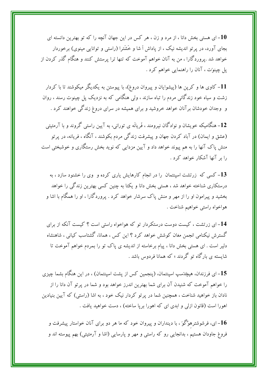ای هستی بخش دانا ، از مرد و زن ، هر کس در این جهان آنچه را که تو بهترین دانسته ای $\bm{10}$ بجای آورد، در پر تو اندیشه نیک ، از یاداش اً شا و خَشَترا (راستی و توانایی مینوی) برخوردار خواهد شد .پروردگارا ، من به آنان خواهم آموخت که تنها ترا پرستش کنند و هنگام گذر کردن از پل چینوَت ، آنان را راهنمایی خواهم کرد .

11– کاوی ها و کرپن ها (پیشوایان و پیروان دروغ)، با پیوستن به یکدیگر میکوشند تا با کردار زشت و سیاه خود زندگانی مردم را تباه سازند ، ولی هنگامی که به نزدیک پل چینوت رسند ، روان و ً وجدان خودشان برآنان خواهد خروشید و برای همیشه در سرای دروغ زندگی خواهند کرد .

12- هنگامیکه خویشان و نوادگان نیرومند ، فَریانَه ی تورانی، به آیین راستی گروند و با آرمئیتی (عشق و ایمان) در آباد کردن جهان و پیشرفت زندگی مردم بکوشند ، آنگاه ، فریانه، در پرتو منش پاک آنها را به هم پیوند خواهد داد و آیین مزدایی که نوید بخش رستگاری و خوشبختی است را بر آنها آشکار خواهد کرد .

13- کسی که زرتشت اسپنتمان را در انجام کارهایش یاری کرده و وی را خشنود سازد ، به درستکاری شناخته خواهد شد ، هستی بخش دانا و یکتا به چنین کسی بهترین زندگی را خواهد بخشید و پیرامون او را از مهر و منش پاک سرشار خواهد کرد . پروردگارا ، او را همگام با اشا و هواخواه راستي خواهيم شناخت .

14-ای زرتشت ، کیست دوست درستکردار تو که هواخواه راستی است ؟ کیست آنکه از برای گسترش نیکنامی انجمن مغان کوشش خواهد کرد ؟ این کس ، همانا، گشتاسب کیانی ، شاهنشاه دلیر است . ای هستی بخش دانا ، پیام برخاسته از اندیشه ی پاک تو را بمردم خواهم آموخت تا شایسته ی بارگاه تو گردند ؛ که همانا فردوس باشد .

15– ای فرزندان، هیچَدَسپ اسپنتمان، (پنجمین کس از پشت اسپنتمان) ، در این هنگام بشما چیزی را خواهم آموخت که شنیدن آن برای شما بهترین اندرز خواهد بود و شما در پرتو آن دانا را از نادان باز خواهید شناخت ، همچنین شما در پرتو کردار نیک خود ، به اشا (راستی) که آیین بنیادین اهورا است (قانون ازلی و ابدی ای که اهورا برپا ساخته) ، دست خواهید یافت .

ای، فرشوشترهوُگوَ ، با دینداران و پیروان خود که ما هر دو برای آنان خواستار پیشرفت و $\bf 16$ فروغ جاودان هستیم ، بدانجایی رو که راستی و مهر و پارسایی (اشا و آرمئیتی) بهم پیوسته اند و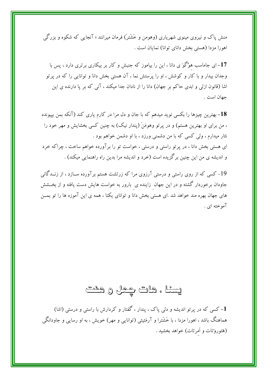منش پاک و نیروی مینوی شهریاری (وهومن و خَشَتر) فرمان میرانند ؛ آنجایی که شکوه و بزرگی اهورا مزدا (هستي بخش داناي توانا) نمايان است .

17– ای جاماسب هوُگوَ ی دانا ، این را بیاموز که جنبش و کار بر بیکاری برتری دارد ، پس با وجدان بیدار و با کار و کوشش ، او را پرستش نما ، آن هستی بخش دانا و توانایی را که در پرتو اشا (قانون ازلی و ابدی حاکم بر جهان) دانا را از نادان جدا میکند ، آنی که بر پا دارنده ی این جهان است .

18– بهترین چیزها را بکسی نوید میدهم که با جان و دل مرا در کارم یاری کند (آنکه بمن بپیوندد ، من برای او بهترین هستم) و در پرتو وهومَنَ (پندار نیک) به چنین کسی بخشایش و مهر خود را نثار میدارم ، ولی کسی که با من دشمنی ورزد ، با او دشمن خواهم بود . ای هستی بخش دانا ، در پرتو راستی و درستی ، خواست تو را برآورده خواهم ساخت ، چراکه خرد و اندیشه ی من این چنین برگزیده است (خرد و اندیشه مرا بدین راه راهنمایی میکند) .

19– کسی که از روی راستی و درستی آرزوی مرا که زرتشت هستم برآورده ســازد ، از زنـــدگانی جاودان برخوردار گشته و در این جهان زاینده ی بارور به خواست هایش دست یافته و از بخـــشش های جهان بهره مند خواهد شد .ای هستی بخش دانا و توانای یکتا ، همه ی این آموزه ها را تو بمــن آموخته ای .

### يسئا ، هات چمل و هشم

1- کسی که در پرتو اندیشه و دلی پاک ، پندار ، گفتار و کردارش با راستی و درستی (اشا) هماهنگ باشد ، اهورا مزدا ، با خَشَترا و آرمَئيتي (توانايي و مهر) خويش ، به او رسايي و جاودانگي (هَئوروَتات و أمرتات) خواهد بخشيد .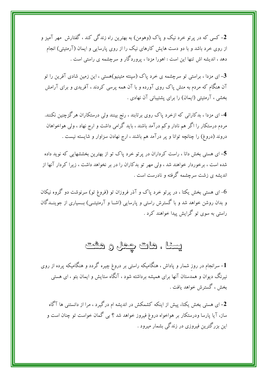2- کسی که در پرتو خرد نیک و یاک (وهومن) به بهترین راه زندگی کند ، گفتارش ًمهر آمیز و از روی خرد باشد و با دو دست هایش کارهای نیک را از روی پارسایی و ایمان (آرمئیتی) انجام دهد ، اندیشه اش تنها این است : اهورا مزدا ، پروردگار و سرچشمه ی راستی است .

ای مزدا ، براستی تو سرچشمه ی خرد پاک (سینته مئینیو)هستی ، این زمین شادی آفرین را تو $\mathbf 3$ آن هنگام که مردم به منش یاک روی آورده و با آن همه پرسی کردند ، آفریدی و برای آرامش بخشی ، آرمئیتی (ایمان) را برای یشتیبانی آن نهادی .

4- ای مزدا ، بدکارانی که ازخرد پاک روی برتابند ، رنج بینند ولی درستکاران هرگزچنین نکنند. مردم درستکار را اگر هم نادار وکم درآمد باشند ، باید گرامی داشت و ارج نهاد ، ولی هواخواهان دروند (دروغ) را چنانچه توانا و پر درآمد هم باشند ، ارج نهادن سزاوار و شایسته نیست .

5– ای هستی بخش دانا ، راست کرداران در پرتو خرد پاک تو از بهترین بخششهایی که نوید داده شده است ، برخوردار خواهند شد ، ولی مهر تو بدکاران را در بر نخواهد داشت ، زیرا کردار آنها از اندیشه ی زشت سرچشمه گرفته و نادرست است .

ای هستی بخش یکتا ، در پرتو خرد پاک و آذر فروزان تو (فروغ تو) سرنوشت دو گروه نیکان $6\,$ و بدان روشن خواهد شد و با گسترش راستی و پارسایی (اشــا و آرمئیتــی) بــسیاری از جوینــدگان راستې به سوي تو گرايش پيدا خواهند کړد .

#### يسئا ، هات چمل و هشت

– سرانجام در روز شمار و پاداش ، هنگامیکه راستی بر دروغ چیره گردد و هنگامیکه پرده از روی $\bm{1}$ نیرنگ دیوان و همدستان آنها برای همیشه برداشته شود ، آنگاه ستایش و ایمان بتو ، ای هستی بخش ، گسترش خواهد یافت .

۔<br>2– ای هستی بخش یکتا، پیش از اینکه کشمکش در اندیشه ام درگیرد ، مرا از دانستنی ها آگاه ساز، آیا پارسا ودرستکار بر هواخواه دروغ فیروز خواهد شد ؟ بی گمان خواست تو چنان است و این بزرگترین فیروزی در زندگی بشمار میرود .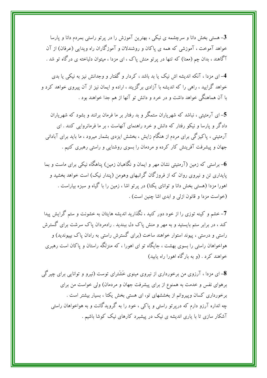3- هستی بخش دانا و سرچشمه ی نیکی ، بهترین آموزش را در پرتو راستی بمردم دانا و پارسا خواهد آموخت ، آموزشی که همه ی پاکان و روشندلان و آموزگاران راه ویدایی (عرفان) از آن آگاهند ، بدان چم (معنا) که تنها در پرتو منش پاک ، ای مزدا ، میتوان دلباخته ی درگاه تو شد .

4- ای مزدا ، آنکه اندیشه اش نیک یا بد باشد ، کردار و گفتار و وجدانش نیز به نیکی یا بدی خواهد گرایید ، راهی را که اندیشه با آزادی برگزیند ، اراده و ایمان نیز از آن پیروی خواهد کرد و با آن هماهنگم ,خواهد داشت و در خرد و دانش تو آنها از هم جدا خواهند بود .

5–ای آرمئیتی ، نباشد که شهریاران ستمگر و بد رفتار بر ما فرمان برانند و بشود که شهریاران دادگر و پارسا و نیکو رفتار که دانش و خرد راهنمای آنهاست ، بر ما فرمانروایی کنند . ای آرمئیتی ، پاکیزگی برای مردم از هنگام زایش ، بخشش ایزدی بشمار میرود ، ما باید برای آبادانی جهان و پیشرفت آفرینش کار کرده و مردمان را بسوی روشنایی و راستی رهبری کنیم .

- براستی که زمین (آرمئیتی نشان مهر و ایمان و نگاهبان زمین) یناهگاه نیکمی برای ماست و بما $\bullet$ پایداری تن و نیروی روان که از فروزگان گرانبهای وهومن (پندار نیک) است خواهد بخشید و اهورا مزدا (هستی بخش دانا و توانای یکتا) در پرتو اشا ، زمین را با گیاه و سبزه بیاراست . (خواست مزدا و قانون ازلی و ابدی اشا چنین است) .

7– خشم و کینه توزی را از خود دور کنید ، نگذارید اندیشه هایتان به خشونت و ستم گرایش پیدا کند ، در برابر ستم بایستید و به مهر و منش پاک دل ببندید . رادمردان پاک سرشت برای گسترش راستی و درستی ، پیوند استوار خواهند ساخت (برای گسترش راستی به رادان پاک بپیوندید) و هواخواهان راستی را بسوی بهشت ، جایگاه تو ای اهورا ، که منزلگه راستان و پاکان است رهبری خواهند کرد . (و به بارگاه اهورا راه پایید)

**8**– ای مزدا ، آرزوی من برخورداری از نیروی مینوی خَشَترای توست (نیرو و توانایی برای چیرگی برهوای نفس و خدمت به همنوع از برای پیشرفت جهان و مردمان) ولی خواست من برای برخورداری کسان وپیروانم از بخششهای تو، ای هستی بخش یکتا ، بسیار بیشتر است . چه انداره آرزو دارم که درپرتو راستی و پاکی ، خود را به گرویدگانت و به هواخواهان راستی آشکار سازی تا با پاری اندیشه ی نیک در پیشبرد کارهای نیک کوشا باشیم .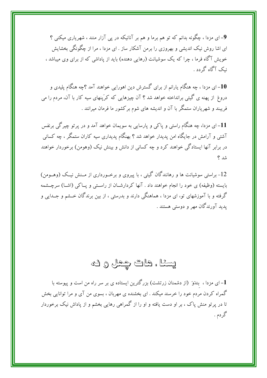9-ای مزدا ، چگونه بدانم که تو هم برما و هم بر آنانیکه در یی آزار منند ، شهریاری میکنی ؟ ای اشا روش نیک اندیشی و بهروزی را برمن آشکار ساز . ای مزدا ، مرا از چگونگی بخشایش خویش آگاه فرما ، چرا که یک سوشیانت (رهایی دهنده) باید از پاداشی که از برای وی میباشد ، نیک آگاه گ دد .

10– ای مزدا ، چه هنگام یارانم از برای گسترش دین اهورایی خواهند آمد ؟چه هنگام پلیدی و دروغ از پهنه ی گیتی برانداخته خواهد شد ؟ آن چیزهایی که کرَپنهای سیه کار با آن، مردم را می فریبند و شهریاران ستمگر با آن و اندیشه های شوم برکشور ما فرمان میرانند .

11– ای مزدا، چه هنگام راستی و پاکی و پارسایی به سویمان خواهد آمد و در پرتو چیرگی برنفس آشتبی و آرامش در جایگاه امن پدیدار خواهد شد ؟ بهنگام پدیداری سیه کاران ستمگر ، چه کسانبی در برابر آنها ایستادگی خواهند کرد و چه کسانی از دانش و بینش نیک (وهومن) برخوردار خواهند شد ؟

12- براستم سوشیانت ها و رهانندگان گیتی ، با پیروی و برخــورداری از مــنش نیــک (وهــومن) بایسته (وظیفه) ی خود را انجام خواهند داد . آنها کردارشــان از راســتی و پــاکی (اشــا) سرچــشمه گرفته و با آموزشهای تو، ای مزدا ، هماهنگی دارند و بدرستی ، از بین برندگان خــشم و جــدایی و یدید آورندگان مهر و دوستی هستند .

# يسئا ، هات چمل و ك

1– ای مزدا ، بندَوَ (از دشمنان زرتشت) بزرگترین ایستاده ی بر سر راه من است و پیوسته با گمراه کردن مردم خود را خرسند میکند . ای بخشنده ی مهربان ، بسوی من آی و مرا توانایی بخش تا در پرتو منش پاک ، بر او دست یافته و او را از گمراهی رهایی بخشم و از پاداش نیک برخوردار گردم .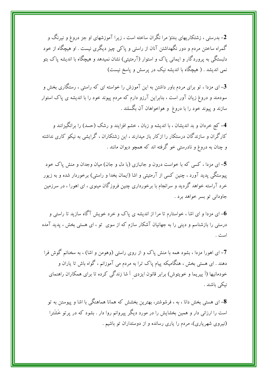2- بدرستی ، زشتکاریهای بندَوَ مرا نگران ساخته است ، زیرا آموزشهای او جز دروغ و نیرنگ و گمراه ساختن مردم و دور نگهداشتن آنان از راستی و پاکی چیز دیگری نیست . او هیچگاه از خود دلبستگی به پروردگار و ایمانی پاک و استوار (آرمئیتی) نشان نمیدهد و هیچگاه با اندیشه پاک بتو نمی اندیشد . ( هیچگاه با اندیشه نیک در پرسش و پاسخ نیست)

ای مزدا ، تو برای مردم باور داشتن به این آموزش را خواسته ای که راستی ، رستگاری بخش و $\mathbf 3$ سودمند و دروغ زیان آور است ، بنابراین آرزو دارم که مردم پیوند خود را با اندیشه ی پاک استوار سازند و پیوند خود را با دروغ و هواخواهان آن بگسلند .

4- کج خردان و بد اندیشان ، با اندیشه و زبان ، خشم افزایند و رشک (حسد) را برانگیزانند و کارگران و سازندگان درستکار را ازکار باز میدارند ، این زشتکاران ، گرایشی به نیکو کاری نداشته و چنان به دروغ و نادرستی خو گرفته اند که همچو دیوان مانند .

5- ای مزدا ، کسی که با خواست درون و جانبازی (با دل و جان) میان وجدان و منش پاک خود پیوستگی پدید آورد ، چنین کسی از آرمئیتی و اشا (ایمان بخدا و راستی) برخوردار شده و به زیور خرد آراسته خواهد گردید و سرانجام با برخورداری چنین فروزگان مینوی ، ای اهورا ، در سرزمین جاودانی تو بسر خواهد برد .

ای مزدا و ای اشا ، خواستارم تا مرا از اندیشه ی پاک و خرد خویش آگاه سازید تا راستی و $\bf 6$ درستی را بازشناسم و دینی را به جهانیان آشکار سازم که از سوی تو ، ای هستی بخش ، پدید آمده است .

7- ای اهورا مزدا ، بشود همه با منش پاک و از روی راستی (وهومن و اشا) ، به سخنانم گوش فرا دهند . ای هستی بخش ، هنگامیکه پیام پاک ترا به مردم می آموزانم ، گواه باش تا یاران و خودمانیها (اَ پیریما و خویتوش) برابر قانون ایزدی اَ شا زندگی کرده تا برای همکاران راهنمای نيكى باشند .

8- ای هستی بخش دانا ، به ، فر شوشتر ، بهترین بخشش که همانا هماهنگی با اشا و پیوستن به تو است را ارزانی دار و همین بخشایش را در مورد دیگر پیروانم روا دار . بشود که در پرتو خَشَترا (نیروی شهریاری)، مردم را یاری رسانده و از دوستداران تو باشیم .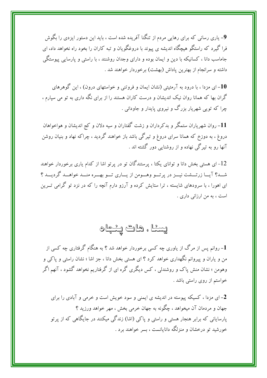9- یاری رسانی که برای رهایی مردم از تنگنا آفریده شده است ، باید این دستور ایزدی را بگوش فرا گیرد که راستگو هیچگاه اندیشه ی پیوند با دروغگویان و تبه کاران را بخود راه نخواهد داد، ای جاماسب دانا ، کسانیکه با دین و ایمان بوده و دارای وجدان روشنند ، با راستی و پارسایی پیوستگی داشته و سرانجام از بهترین یاداش (بهشت) برخوردار خواهند شد .

10– ای مزدا ، با درود به آرمئیتی (نشان ایمان و فروتنی و خواستهای درون) ، این گوهرهای گران بها که همانا روان نیک اندیشان و درست کاران هستند را از برای نگه داری به تو می سپارم ، چرا که توپی شهریار بزرگ و نیروی پایدار و جاودانی .

11- روان شهریاران ستمگر و بدکرداران و زشت گفتاران و سیه دلان و کج اندیشان و هواخواهان دروغ ، به دوزخ که همانا سرای دروغ و تیرگی باشد باز خواهند گردید ، چراکه نهاد و بنیان روشن آنها رو به تیرگی نهاده و از روشنایی دور گشته اند .

12- ای هستی بخش دانا و توانای یکتا ، پرستندگان تو در پر تو اشا از کدام پاری برخوردار خواهند شــد؟ آیــا زرتـــشت نیـــز در پرتـــو وهـــومن از پـــاری تـــو بهـــره منـــد خواهـــد گردیـــد ؟ ای اهورا ، با سرودهای شایسته ، ترا ستایش کرده و آرزو دارم آنچه را که در نزد تو گرامی تــرین است ، به من ارزانی داری .

#### ولعِنْيًا وكَالَّةٍ وَيَتَّبَعُوا وَ

1- روانم پس از مرگ از یاوری چه کسی برخوردار خواهد شد ؟ به هنگام گرفتاری چه کسی از من و یاران و پیروانم نگهداری خواهد کرد ؟ ای هستی بخش دانا ، جز اشا ؛ نشان راستی و پاکی و وهومن ؛ نشان منش پاک و روشندلی ، کس دیگری گره ای از گرفتاریم نخواهد گشود ، آنهم اگر خواستم از روی راستی باشد .

2- ای مزدا ، کسیکه پیوسته در اندیشه ی ایمنی و سود خویش است و خرمی و آبادی را برای جهان و مردمان آن میخواهد ، چگونه به جهان خرمی بخش ، مهر خواهد ورزید ؟ پارسایانی که برابر هنجار هستی و راستی و پاکی (اشا) زندگی میکنند در جایگاهی که از پرتو خورشید تو درخشان و منزلگه دانایانست ، بسر خواهند برد .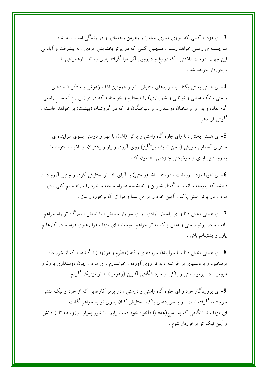3– ای مزدا ، کسی که نیروی مینوی خشترا و وهومن راهنمای او در زندگی است ، به اشا؛ سرچشمه ی راستی خواهد رسید ، همچنین کسی که در پر تو بخشایش ایزدی ، به پیشرفت و آبادانی این جهان دوست داشتنی ، که دروغ و دورویی آنرا فرا گرفته یاری رساند ، ازهمراهی اشا بر خوردار خواهد شد .

4- ای هستی بخش یکتا ، با سرودهای ستایش ، تو و همچنین اشا ، وُهومَنَ و خَشَترا (نمادهای راستی ، نیک منشی و توانایی و شهریاری) را میستایم و خواستارم که در فرازین راه آسمان راستی گام نهاده و به آوا و سخنان دوستداران و دلباختگان تو که در گروتمان (بهشت) بر خواهد خاست ، گوش فرا دهم .

5- ای هستی بخش دانا وای جلوه گاه راستی و یاکی (اشا)، با مهر و دوستی بسوی سراینده ی مانترای آسمانی خویش (سخن اندیشه برانگیز) روی آورده و یار و پشتیبان او باشید تا بتواند ما را به روشنایی ابدی و خوشبختی جاودانی رهنمون کند .

ای اهورا مزدا ، زرتشت ، دوستدار اشا (راستی) با آوای بلند ترا ستایش کرده و چنین آرزو دارد $\vec{6}$ : باشد که پیوسته زبانم را با گفتار شیرین و اندیشمند همراه ساخته و خرد را ، راهنمایم کنبی ، ای مزدا ، در پرتو منش پاک ، آیین خود را بر من بنما و مرا از آن برخوردار ساز .

7- ای هستی بخش دانا و ای پاسدار آزادی ًو ای سزاوار ستایش ، با نیایش ، بدرگاه تو راه خواهم یافت و در پرتو راستی و منش پاک به تو خواهم پیوست ، ای مزدا ، مرا رهبری فرما و در کارهایم ياور و پشتيبانم باش .

8- ای هستی بخش دانا ، با سراییدن سرودهای وافته (منظوم و موزون) ؛ گاتاها ، که از شور دل برمیخیزد و با دستهای بر افراشته ، به تو روی آورده ، خواستارم ، ای مزدا ، چون دوستداری با وفا و فروتن ، در پرتو راستی و پاکی و خرد شگفتی آفرین (وهومن) به تو نزدیک گردم .

9- ای پروردگار خرد و ای جلوه گاه راستی و درستی ، در پرتو کارهایی که از خرد و نیک منشی سرچشمه گرفته است ، و با سرودهای یاک ، ستایش کنان بسوی تو بازخواهم گشت . ای مزدا ، تا آنگاهی که به آماج(هدف) دلخواه خود دست یابم ، با شور بسیار آرزومندم تا از دانش وآيين نيک تو برخوردار شوم .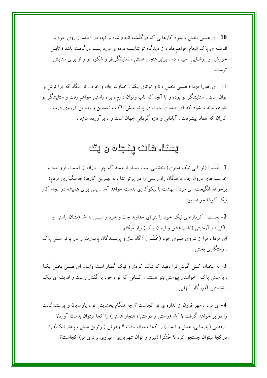ای هستی بخش ، بشود کارهایی که درگذشته انجام شده وآنچه در آینده از روی خرد و $\mathbf{10}$ اندیشه ی پاک انجام خواهم داد ، از دیدگاه تو شایسته بوده و مورد پسند درگاهت باشد ؛ تابش خورشید و روشنایی سپیده دم ، برابر هنجار هستی ، نمایانگر فر و شکوه تو و از برای ستایش توست.

11- ای اهورا مزدا ؛ هستی بخش دانا و توانای یکتا ، خداوند جان و خرد ، تا آنگاه که مرا توش و توان است ، ستایشگر تو بوده و تا آنجا که تاب وتوان دارم ، براه راستی خواهم رفت و ستایشگر تو خواهم ماند ، بشود که آفریننده ی جهان در پرتو منش پاک ، نخستین و بهترین آرزوی درست کاران که همانا پیشرفت ، آبادانی و تازه گردانی جهان است را ، بر آورده سازد .

# يسئل هات پئچاه ويک

1- خَشَترا (توانایی نیک مینوی) بخششی است بسیار ارجمند که چون باران از آسمان فروآمده و خواسته های درون جان باختگان راه راستی را در پرتو اشا ، به بهترین کارها(خدمتگذاری مردم) برخواهد انگیخت .ای مزدا ، بهشت با نیکوکاری بدست خواهد آمد ، پس برای همیشه در انجام کار نیک کوشا خواهم بود .

2- نخست ، کردارهای نیک خود را بتو ای خداوند جان و خرد و سپس به اشا (نشان راستی و یاکی) و آرمئیتی (نشان عشق و ایمان یاک) نیاز میکنم . ای مزدا ، مرا از نیروی مینوی خود (خَشَترا) آگاه ساز و پرستندگان پایدارت را در پرتو منش پاک ، رستگاری بخش .

**3**– به سخنان کسی گوش فرا دهید که نیک کردار و نیک گفتار است واینان ای هستی بخش یکتا ، با منش پاک ، خواستار پیوستن بتو هستند ، کسانی که تو ، خود با گفتار راست و اندیشه ی نیک ، نخستین آموزگار آنهایی .

4- ای مزدا ، مهر فزون از اندازه ی تو کجاست ؟ چه هنگام بخشایش تو ، پارسایان و پرستندگانت را در بر خواهد گرفت ؟ اَ شا (راستی و درستی ؛ هنجار هستی) را کجا میتوان بدست آورد؟ آرمئيتي (يارسايي، عشق و ايمان) را كجا ميتوان يافت ؟ وهومَنَ (برترين منش ، يندار نيك) را درکجا میتوان جستجو کرد ؟ خَشَترا (نیرو و توان شهریاری ؛ نیروی برتری تو) کجاست؟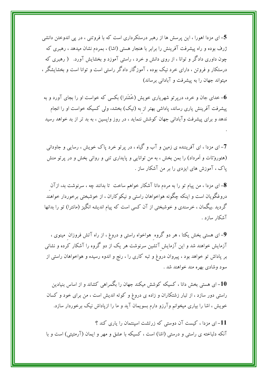5– ای مزدا اهورا ، این پرسش ها از رهبر درستکرداری است که با فروتنی ، در یی اندوختن دانشی ژرف بوده و راه پیشرفت آفرینش را برابر با هنجار هستی (اشا) ، بمردم نشان میدهد ، رهبری که چون داوری دادگر و توانا ، از روی دانش و خرد ، راستی آموزد و بخشایش آورد. ( رهبری که درستکار و فروتن ، دارای خرد نیک بوده ، آموزگار دادگر راستی است و توانا است و بخشایشگر ، میتواند جهان را به پیشرفت و آبادانی برساند)

- خدای جان و خرد، دریر تو شهریاری خویش (خَشَترا) بکسی که خواست او را بجای آورد و به $\bf 6$ پیشرفت آفرینش یاری رساند، پاداشی بهتر از به (نیک) بخشد، ولی کسیکه خواست او را انجام ندهد و برای پیشرفت وآبادانی جهان کوشش ننماید ، در روز وایسین ، به بد تر از بد خواهد رسید

7- ای مزدا ، ای آفریننده ی زمین و آب و گیاه ، در پرتو خرد پاک خویش ، رسایی و جاودانی (هئوروتات و اَمرداد) را بمن بخش ، به من توانایی و پایداری تنی و روانی بخش و در پرتو منش پاک ، آموزش های ایزدی را بر من آشکار ساز .

**8**– ای مزدا ، من پیام تو را به مردم دانا آشکار خواهم ساخت تا بدانند چه ، سرنوشت بد، ازآن دروغگویان است و اینکه چگونه هواخواهان راستی و نیکوکاران ، از خوشبختی برخوردار خواهند گردید .بیگمان ، خرسندی و خوشبختی از آن کسی است که پیام اندیشه انگیز (مانترا) تو را بدانها آشکار سازد .

9-ای هستی بخش یکتا ، هر دو گروه هواخواه راستی و دروغ ، از راه آتش فروزان مینوی ، آزمایش خواهند شد و این آزمایش آتشین سرنوشت هر یک از دو گروه را آشکار کرده و نشانی بر پاداش تو خواهد بود ، پیروان دروغ و تبه کاری را ، رنج و اندوه رسیده و هواخواهان راستی از سود وشادي بهره مند خواهند شد .

10– ای هستی بخش دانا ، کسیکه کوشش میکند جهان را بگمراهی کشاند و از اساس بنیادین راستی دور سازد ، از تبار زشتکاران و زاده ی دروغ و کوته اندیش است ، من برای خود و کسان خویش ، اشا را بیاری میخوانم وآرزو دارم بسویمان آید و ما را ازپاداش نیک برخوردار سازد.

11- ای مزدا ، کیست آن دوستی که زرتشت اسینتمان را یاری کند ؟ آنکه دلباخته ی راستی و درستی (اشا) است ، کسیکه با عشق و مهر و ایمان (آرمئیتی) است و با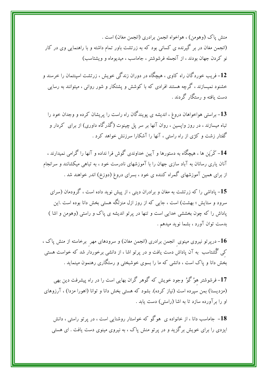منش ياک (وهومن) ، هواخواه انجمن برادري (انجمن مغان) است . (انجمن مغان در بر گیرنده ی کسانی بود که به زرتشت باور تمام داشته و با راهنمایی وی در کار نو کردن جهان بودند ، از آنجمله فرشوشتر ، جاماسب ، میدیوماه و ویشتاسب)

12– فریب خوردگان راه کاوی ، هیچگاه در دوران زندگی خویش ، زرتشت اسپنتمان را خرسند و خشنود نمیسازند ، گرچه هستند افرادی که با کوشش و پشتکار و شور روانی ، میتوانند به رسایی دست یافته و رستگار گردند .

13– براستی هواخواهان دروغ ، اندیشه ی پویندگان راه راست را پریشان کرده و وجدان خود را تباه میسازند ، در روز واپسین ، روان آنها بر سر پل چینوت (گذرگاه داوری) از برای کردار و گفتار زشت و کژی از راه راستی ، آنها را آشکارا سرزنش خواهد کرد .

14– کَرَپَن ها ، هیچگاه به دستورها و آیین خداوندی گوش فرا نداده و آنها را گرامی نمیدارند ، آنان پاری رسانان به آباد سازی جهان را با آموزشهای نادرست خود ، به تباهی میکشانند و سرانجام از برای همین آموزشهای گمراه کننده ی خود ، بسرای دروغ (دوزخ) اندر خواهند شد .

15– پاداشی را که زرتشت به مغان و برادران دینی ، از پیش نوید داده است ، گرودمان (سرای سرود و ستایش ؛ بهشت) است ، جایبی که از روز ازل منزلگه هستی بخش دانا بوده است .این پاداش را که چون بخششی خدایی است و تنها در پرتو اندیشه ی پاک و راستی (وهومن و اشا ) بدست توان آورد ، بشما نوید میدهم .

- درپرتو نیروی مینوی  $\,$ نجمن برادری (انجمن مغان) و سرودهای مهر  $\,$ برخاسته از منش پاک ،  $\,$ کمی گُشتاسب به آن پاداش دست یافت و در پرتو اشا ، از دانشی برخوردار شد که خواست هستی بخش دانا و پاک است ، دانشی که ما را بسوی خوشبختی و رستگاری رهنمون مینماید .

17- فرشوشتر هوُ گوُ' وجود خویش که گوهر گران بهایی است را در راه پیشرفت دین بهی (مزدیسنا) بمن سیرده است (نیاز کرده). بشود که هستی بخش دانا و توانا (اهورا مزدا) ، آرزوهای او را بر آورده سازد تا به اشا (راستی) دست یابد .

18– جاماسب دانا ، از خانواده ی هوگو که خواستار روشنایی است ، در پرتو راستی ، دانش ایزدی را برای خویش برگزید و در پرتو منش پاک ، به نیروی مینوی دست یافت . ای هستی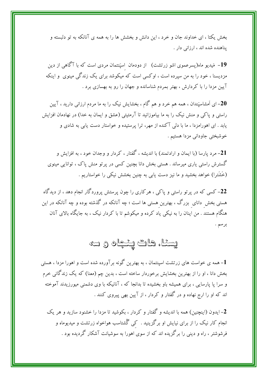بخش یکتا ، ای خداوند جان و خرد ، این دانش و بخشش ها را به همه ی آنانکه به تو دلبسته و یناهنده شده اند ، ارزانی دار .

19– مَیدیو ماه(پسرعموی اشو زرتشت) از دودمان اسپَنتمان مردی است که با آگاهی از دین مزدیسنا ، خود را به من سپرده است ، اوکسی است که میکوشد برای یک زندگی مینوی ً و اینکه آیین مزدا را با کردارش ، بهتر بمردم شناسانده و جهان را رو به بهسازی برد .

۔<br>**20**– ای اَمشاسپَندان ، همه هم خرد و هم گام ، بخشایش نیک را به ما مردم ارزانی دارید ، آیین راستی و پاکی و منش نیک را به ما بیاموزانید تا آرمئیتی (عشق و ایمان به خدا) در نهادمان افزایش یابد . ای اهورامزدا ، ما با دلمی آکنده از مهر، ترا پرستیده و خواستار دست یابی به شادی و خوشبختي جاوداني مزدا هستيم .

21– مرد پارسا (با ایمان و ارادتمند) با اندیشه ، گفتار ، کردار و وجدان خود ، به افزایش و گسترش راستی پاری میرساند . هستی بخش دانا بچنین کسی در پرتو منش پاک ، توانایی مینوی (خَشَترا) خواهد بخشید و ما نیز دست یابی به چنین بخشش نیکی را خواستاریم .

22– کسی که در پرتو راستی و پاکی ، هرکاری را چون پرستش پروردگار انجام دهد ، از دیدگاه هستی بخش دانای بزرگ ، بهترین هستی ها است ؛ چه آنانکه در گذشته بوده و چه آنانکه در این هنگام هستند . من اینان را به نیکی یاد کرده و میکوشم تا با کردار نیک ، به جایگاه بالای آنان

# يسناه هات پنجاه ولته

1- همه ی خواست های زرتشت اسینتمان ، به بهترین گونه برآورده شده است و اهورا مزدا ، هستی بخش دانا ، او را از بهترین بخشایش برخوردار ساخته است ، بدین چم (معنا) که یک زندگانی خرم و سرا پا پارسایی ، برای همیشه باو بخشیده تا بدانجا که ، آنانیکه با وی دشمنی میورزیدند آموخته اند که او را ارج نهاده و در گفتار و کردار ، از آیین بهی پیروی کنند .

2- ايدون (اينچنين) همه با انديشه و گفتار و كردار ، بكوشيد تا مزدا را خشنود سازيد و هر يک انجام کار نیک را از برای نیایش او برگزینید . کپی گُشتاسب هواخواه زرتشت و میدیوماه و فرشوشتر ، راه و دینی را برگزیده اند که از سوی اهورا به سوشیانت آشکار گردیده بود .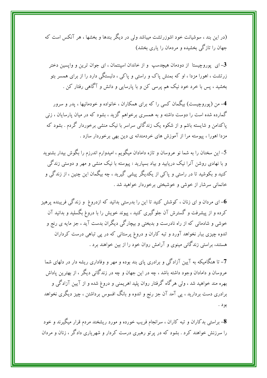(در این بند ، سوشیانت خود اشوزرتشت میباشد ولی در دیگر بندها و بخشها ، هر آنکس است که جهان را تازگی بخشیده و مردمان را پاری بخشد)

ای پوروچیستا از دودمان هیچدسپ و از خاندان اسپنتمان ، ای جوان ترین و واپسین دختر $\mathbf 3$ زرتشت ، اهورا مزدا ، او که بمنش یاک و راستی و یاکی ، دلبستگی دارد را از برای همسر بتو بخشید ، پس با خرد خود نیک هم پرسی کن و با پارسایی و دانش و آگاهی رفتار کن .

4- من (یوروچیست) بیگمان کسی را که برای همکاران ، خانواده و خودمانیها ، پدر و سرور گمارده شده است را دوست داشته و به همسری برخواهم گزید ، بشود که در میان پارسایان ، زنی یاکدامن و شایسته باشم و از شکوه یک زندگانی سراسر با نیک منشی برخوردار گردم . بشود که مزدا اهورا ، پیوسته مرا از آموزش های خردمندانه ی دین بهی برخوردار سازد .

5– این سخنان را به شما نو عروسان و تازه دامادان میگویم ، امیدوارم اندرزم را بگوش بیدار بشنوید و با نهادی روشن آنرا نیک دریابید و بیاد بسپارید : پیوسته با نیک منشی و مهر و دوستی زندگی کنید و بکوشید تا در راستی و پاکی از یکدیگر پیشی گیرید ، چه بیگمان این چنین ، از زندگی و خانمانی سرشار از خوشی و خوشبختی برخوردار خواهید شد .

ای مردان و ای زنان ، کوشش کنید تا این را بدرستی بدانید که ازدروغ و زندگی فریبنده پرهیز $\bf 6$ کرده و از پیشرفت و گسترش آن جلوگیری کنید ، پیوند خویش را با دروغ بگسلید و بدانید آن خوشی و شادمانی که از راه نادرست و بدبختی و بیچارگی دیگران بدست آید ، جز مایه ی رنج و اندوه چیزی ببار نخواهد آورد و تبه کاران و دروغ پرستانی که در پی تباهی درست کرداران هستند، براستی زندگانی مینوی و آرامش روان خود را از بین خواهند برد .

7- تا هنگامیکه به آیین آزادگی و برادری پای بند بوده و مهر و وفاداری ریشه دار در دلهای شما عروسان و دامادان وجود داشته باشد ، چه در این جهان و چه در زندگانی دیگر ، از بهترین یاداش بهره مند خواهید شد ، ولی هرگاه گرفتار روان پلید اهریمنی و دروغ شده و از آیین آزادگی و برادری دست بردارید ، پی آمد آن جز رنج و اندوه و بانگ افسوس برداشتن ، چیز دیگری نخواهد بود .

8- براستی بدکاران و تبه کاران ، سرانجام فریب خورده و مورد ریشخند مردم قرار میگیرند و خود را سرزنش خواهند کرد . بشود که در پر تو رهبری درست کردار و شهریاری دادگر ، زنان و مردان